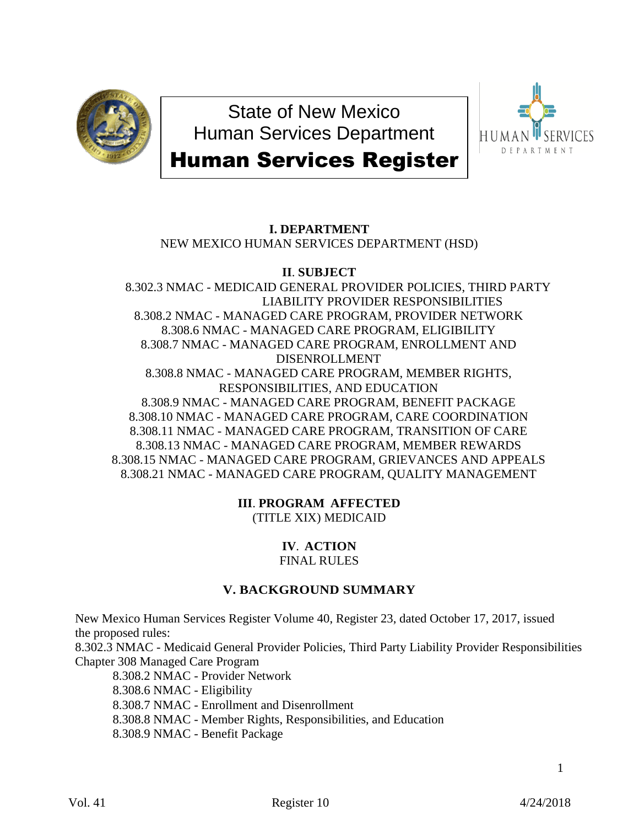

State of New Mexico Human Services Department



# Human Services Register

# **I. DEPARTMENT**

NEW MEXICO HUMAN SERVICES DEPARTMENT (HSD)

# **II**. **SUBJECT**

8.302.3 NMAC - MEDICAID GENERAL PROVIDER POLICIES, THIRD PARTY LIABILITY PROVIDER RESPONSIBILITIES 8.308.2 NMAC - MANAGED CARE PROGRAM, PROVIDER NETWORK 8.308.6 NMAC - MANAGED CARE PROGRAM, ELIGIBILITY 8.308.7 NMAC - MANAGED CARE PROGRAM, ENROLLMENT AND DISENROLLMENT 8.308.8 NMAC - MANAGED CARE PROGRAM, MEMBER RIGHTS, RESPONSIBILITIES, AND EDUCATION 8.308.9 NMAC - MANAGED CARE PROGRAM, BENEFIT PACKAGE 8.308.10 NMAC - MANAGED CARE PROGRAM, CARE COORDINATION 8.308.11 NMAC - MANAGED CARE PROGRAM, TRANSITION OF CARE 8.308.13 NMAC - MANAGED CARE PROGRAM, MEMBER REWARDS 8.308.15 NMAC - MANAGED CARE PROGRAM, GRIEVANCES AND APPEALS 8.308.21 NMAC - MANAGED CARE PROGRAM, QUALITY MANAGEMENT

> **III**. **PROGRAM AFFECTED** (TITLE XIX) MEDICAID

> > **IV**. **ACTION** FINAL RULES

# **V. BACKGROUND SUMMARY**

New Mexico Human Services Register Volume 40, Register 23, dated October 17, 2017, issued the proposed rules:

8.302.3 NMAC - Medicaid General Provider Policies, Third Party Liability Provider Responsibilities Chapter 308 Managed Care Program

8.308.2 NMAC - Provider Network 8.308.6 NMAC - Eligibility 8.308.7 NMAC - Enrollment and Disenrollment 8.308.8 NMAC - Member Rights, Responsibilities, and Education 8.308.9 NMAC - Benefit Package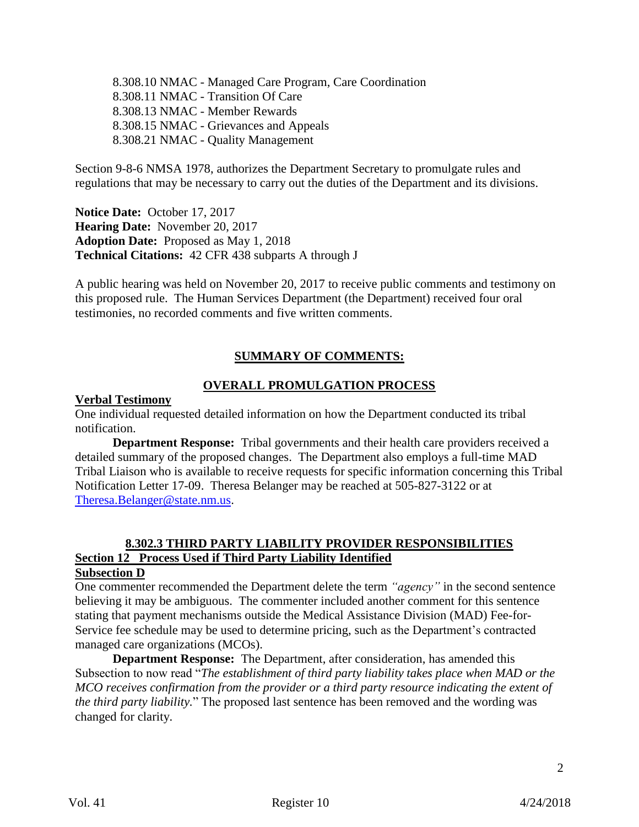8.308.10 NMAC - Managed Care Program, Care Coordination 8.308.11 NMAC - Transition Of Care 8.308.13 NMAC - Member Rewards 8.308.15 NMAC - Grievances and Appeals 8.308.21 NMAC - Quality Management

Section 9-8-6 NMSA 1978, authorizes the Department Secretary to promulgate rules and regulations that may be necessary to carry out the duties of the Department and its divisions.

**Notice Date:** October 17, 2017 **Hearing Date:** November 20, 2017 **Adoption Date:** Proposed as May 1, 2018 **Technical Citations:** 42 CFR 438 subparts A through J

A public hearing was held on November 20, 2017 to receive public comments and testimony on this proposed rule. The Human Services Department (the Department) received four oral testimonies, no recorded comments and five written comments.

# **SUMMARY OF COMMENTS:**

# **OVERALL PROMULGATION PROCESS**

#### **Verbal Testimony**

One individual requested detailed information on how the Department conducted its tribal notification.

**Department Response:** Tribal governments and their health care providers received a detailed summary of the proposed changes. The Department also employs a full-time MAD Tribal Liaison who is available to receive requests for specific information concerning this Tribal Notification Letter 17-09. Theresa Belanger may be reached at 505-827-3122 or at [Theresa.Belanger@state.nm.us.](mailto:Theresa.Belanger@state.nm.us)

# **8.302.3 THIRD PARTY LIABILITY PROVIDER RESPONSIBILITIES Section 12 Process Used if Third Party Liability Identified**

#### **Subsection D**

One commenter recommended the Department delete the term *"agency"* in the second sentence believing it may be ambiguous. The commenter included another comment for this sentence stating that payment mechanisms outside the Medical Assistance Division (MAD) Fee-for-Service fee schedule may be used to determine pricing, such as the Department's contracted managed care organizations (MCOs).

**Department Response:** The Department, after consideration, has amended this Subsection to now read "*The establishment of third party liability takes place when MAD or the MCO receives confirmation from the provider or a third party resource indicating the extent of the third party liability.*" The proposed last sentence has been removed and the wording was changed for clarity.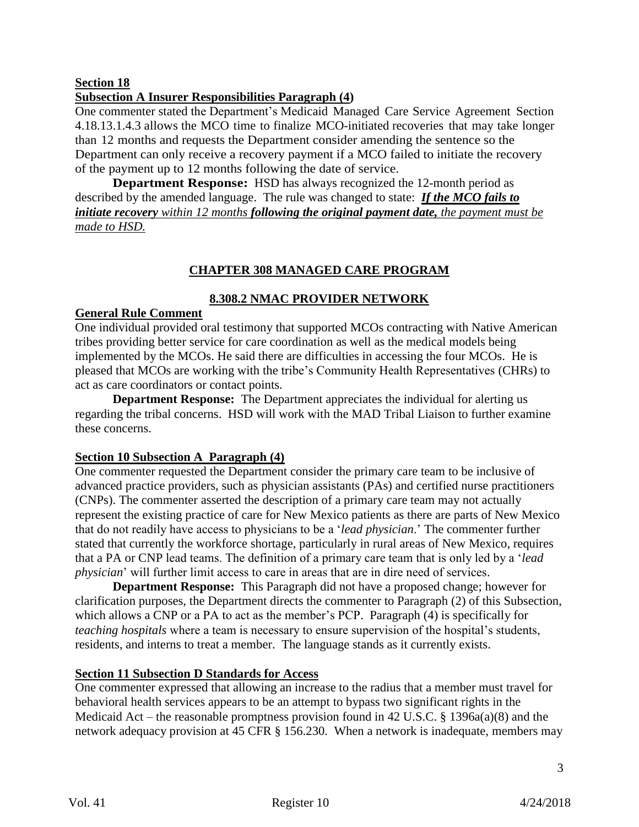## **Section 18**

# **Subsection A Insurer Responsibilities Paragraph (4)**

One commenter stated the Department's Medicaid Managed Care Service Agreement Section 4.18.13.1.4.3 allows the MCO time to finalize MCO-initiated recoveries that may take longer than 12 months and requests the Department consider amending the sentence so the Department can only receive a recovery payment if a MCO failed to initiate the recovery of the payment up to 12 months following the date of service.

**Department Response:** HSD has always recognized the 12-month period as described by the amended language. The rule was changed to state: *If the MCO fails to initiate recovery within 12 months following the original payment date, the payment must be made to HSD.*

# **CHAPTER 308 MANAGED CARE PROGRAM**

# **8.308.2 NMAC PROVIDER NETWORK**

## **General Rule Comment**

One individual provided oral testimony that supported MCOs contracting with Native American tribes providing better service for care coordination as well as the medical models being implemented by the MCOs. He said there are difficulties in accessing the four MCOs. He is pleased that MCOs are working with the tribe's Community Health Representatives (CHRs) to act as care coordinators or contact points.

**Department Response:** The Department appreciates the individual for alerting us regarding the tribal concerns. HSD will work with the MAD Tribal Liaison to further examine these concerns.

## **Section 10 Subsection A Paragraph (4)**

One commenter requested the Department consider the primary care team to be inclusive of advanced practice providers, such as physician assistants (PAs) and certified nurse practitioners (CNPs). The commenter asserted the description of a primary care team may not actually represent the existing practice of care for New Mexico patients as there are parts of New Mexico that do not readily have access to physicians to be a '*lead physician*.' The commenter further stated that currently the workforce shortage, particularly in rural areas of New Mexico, requires that a PA or CNP lead teams. The definition of a primary care team that is only led by a '*lead physician*' will further limit access to care in areas that are in dire need of services.

**Department Response:** This Paragraph did not have a proposed change; however for clarification purposes, the Department directs the commenter to Paragraph (2) of this Subsection, which allows a CNP or a PA to act as the member's PCP. Paragraph (4) is specifically for *teaching hospitals* where a team is necessary to ensure supervision of the hospital's students, residents, and interns to treat a member. The language stands as it currently exists.

## **Section 11 Subsection D Standards for Access**

One commenter expressed that allowing an increase to the radius that a member must travel for behavioral health services appears to be an attempt to bypass two significant rights in the Medicaid Act – the reasonable promptness provision found in 42 U.S.C. § 1396a(a)(8) and the network adequacy provision at 45 CFR § 156.230. When a network is inadequate, members may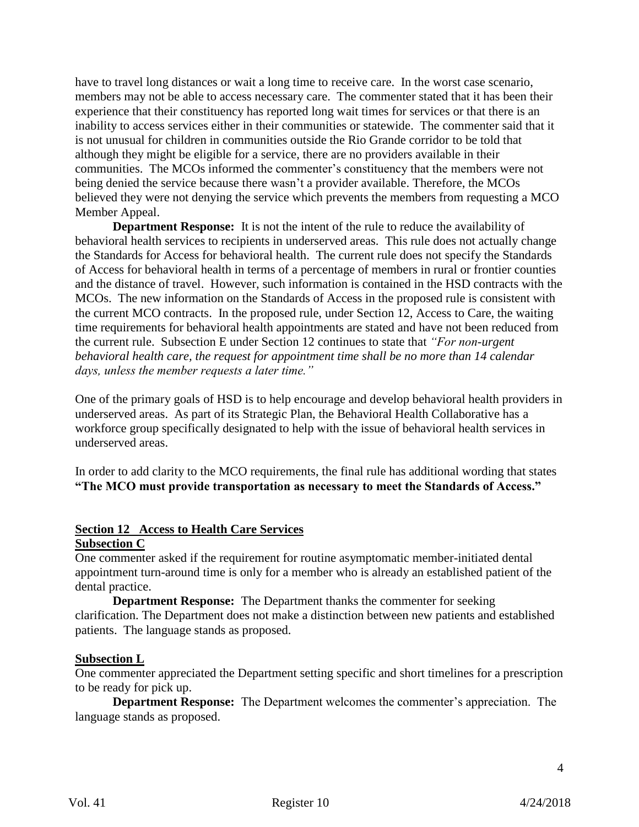have to travel long distances or wait a long time to receive care. In the worst case scenario, members may not be able to access necessary care. The commenter stated that it has been their experience that their constituency has reported long wait times for services or that there is an inability to access services either in their communities or statewide. The commenter said that it is not unusual for children in communities outside the Rio Grande corridor to be told that although they might be eligible for a service, there are no providers available in their communities. The MCOs informed the commenter's constituency that the members were not being denied the service because there wasn't a provider available. Therefore, the MCOs believed they were not denying the service which prevents the members from requesting a MCO Member Appeal.

**Department Response:** It is not the intent of the rule to reduce the availability of behavioral health services to recipients in underserved areas. This rule does not actually change the Standards for Access for behavioral health. The current rule does not specify the Standards of Access for behavioral health in terms of a percentage of members in rural or frontier counties and the distance of travel. However, such information is contained in the HSD contracts with the MCOs. The new information on the Standards of Access in the proposed rule is consistent with the current MCO contracts. In the proposed rule, under Section 12, Access to Care, the waiting time requirements for behavioral health appointments are stated and have not been reduced from the current rule. Subsection E under Section 12 continues to state that *"For non-urgent behavioral health care, the request for appointment time shall be no more than 14 calendar days, unless the member requests a later time."*

One of the primary goals of HSD is to help encourage and develop behavioral health providers in underserved areas. As part of its Strategic Plan, the Behavioral Health Collaborative has a workforce group specifically designated to help with the issue of behavioral health services in underserved areas.

In order to add clarity to the MCO requirements, the final rule has additional wording that states **"The MCO must provide transportation as necessary to meet the Standards of Access."**

# **Section 12 Access to Health Care Services**

# **Subsection C**

One commenter asked if the requirement for routine asymptomatic member-initiated dental appointment turn-around time is only for a member who is already an established patient of the dental practice.

**Department Response:** The Department thanks the commenter for seeking clarification. The Department does not make a distinction between new patients and established patients. The language stands as proposed.

#### **Subsection L**

One commenter appreciated the Department setting specific and short timelines for a prescription to be ready for pick up.

**Department Response:** The Department welcomes the commenter's appreciation. The language stands as proposed.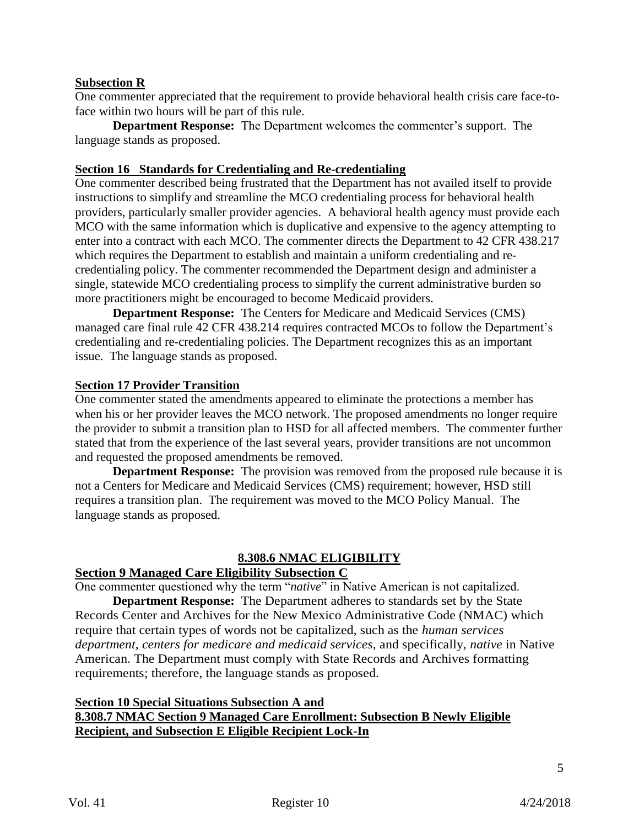#### **Subsection R**

One commenter appreciated that the requirement to provide behavioral health crisis care face-toface within two hours will be part of this rule.

**Department Response:** The Department welcomes the commenter's support. The language stands as proposed.

#### **Section 16 Standards for Credentialing and Re-credentialing**

One commenter described being frustrated that the Department has not availed itself to provide instructions to simplify and streamline the MCO credentialing process for behavioral health providers, particularly smaller provider agencies. A behavioral health agency must provide each MCO with the same information which is duplicative and expensive to the agency attempting to enter into a contract with each MCO. The commenter directs the Department to 42 CFR 438.217 which requires the Department to establish and maintain a uniform credentialing and recredentialing policy. The commenter recommended the Department design and administer a single, statewide MCO credentialing process to simplify the current administrative burden so more practitioners might be encouraged to become Medicaid providers.

**Department Response:** The Centers for Medicare and Medicaid Services (CMS) managed care final rule 42 CFR 438.214 requires contracted MCOs to follow the Department's credentialing and re-credentialing policies. The Department recognizes this as an important issue. The language stands as proposed.

#### **Section 17 Provider Transition**

One commenter stated the amendments appeared to eliminate the protections a member has when his or her provider leaves the MCO network. The proposed amendments no longer require the provider to submit a transition plan to HSD for all affected members. The commenter further stated that from the experience of the last several years, provider transitions are not uncommon and requested the proposed amendments be removed.

**Department Response:** The provision was removed from the proposed rule because it is not a Centers for Medicare and Medicaid Services (CMS) requirement; however, HSD still requires a transition plan. The requirement was moved to the MCO Policy Manual. The language stands as proposed.

#### **8.308.6 NMAC ELIGIBILITY**

### **Section 9 Managed Care Eligibility Subsection C**

One commenter questioned why the term "*native*" in Native American is not capitalized.

**Department Response:** The Department adheres to standards set by the State Records Center and Archives for the New Mexico Administrative Code (NMAC) which require that certain types of words not be capitalized, such as the *human services department, centers for medicare and medicaid services,* and specifically, *native* in Native American. The Department must comply with State Records and Archives formatting requirements; therefore, the language stands as proposed.

## **Section 10 Special Situations Subsection A and 8.308.7 NMAC Section 9 Managed Care Enrollment: Subsection B Newly Eligible Recipient, and Subsection E Eligible Recipient Lock-In**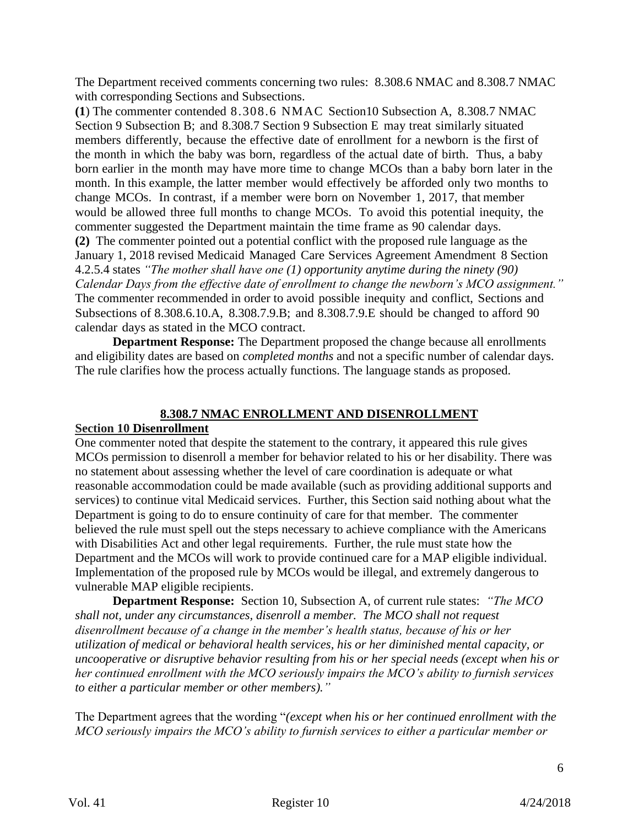The Department received comments concerning two rules: 8.308.6 NMAC and 8.308.7 NMAC with corresponding Sections and Subsections.

**(1**) The commenter contended 8.308.6 NMAC Section10 Subsection A, 8.308.7 NMAC Section 9 Subsection B; and 8.308.7 Section 9 Subsection E may treat similarly situated members differently, because the effective date of enrollment for a newborn is the first of the month in which the baby was born, regardless of the actual date of birth. Thus, a baby born earlier in the month may have more time to change MCOs than a baby born later in the month. In this example, the latter member would effectively be afforded only two months to change MCOs. In contrast, if a member were born on November 1, 2017, that member would be allowed three full months to change MCOs. To avoid this potential inequity, the commenter suggested the Department maintain the time frame as 90 calendar days. **(2)** The commenter pointed out a potential conflict with the proposed rule language as the January 1, 2018 revised Medicaid Managed Care Services Agreement Amendment 8 Section 4.2.5.4 states *"The mother shall have one (1) opportunity anytime during the ninety (90) Calendar Days from the effective date of enrollment to change the newborn's MCO assignment."* The commenter recommended in order to avoid possible inequity and conflict, Sections and Subsections of 8.308.6.10.A, 8.308.7.9.B; and 8.308.7.9.E should be changed to afford 90 calendar days as stated in the MCO contract.

**Department Response:** The Department proposed the change because all enrollments and eligibility dates are based on *completed months* and not a specific number of calendar days. The rule clarifies how the process actually functions. The language stands as proposed.

#### **8.308.7 NMAC ENROLLMENT AND DISENROLLMENT**

#### **Section 10 Disenrollment**

One commenter noted that despite the statement to the contrary, it appeared this rule gives MCOs permission to disenroll a member for behavior related to his or her disability. There was no statement about assessing whether the level of care coordination is adequate or what reasonable accommodation could be made available (such as providing additional supports and services) to continue vital Medicaid services. Further, this Section said nothing about what the Department is going to do to ensure continuity of care for that member. The commenter believed the rule must spell out the steps necessary to achieve compliance with the Americans with Disabilities Act and other legal requirements. Further, the rule must state how the Department and the MCOs will work to provide continued care for a MAP eligible individual. Implementation of the proposed rule by MCOs would be illegal, and extremely dangerous to vulnerable MAP eligible recipients.

**Department Response:** Section 10, Subsection A, of current rule states: *"The MCO shall not, under any circumstances, disenroll a member. The MCO shall not request disenrollment because of a change in the member's health status, because of his or her utilization of medical or behavioral health services, his or her diminished mental capacity, or uncooperative or disruptive behavior resulting from his or her special needs (except when his or her continued enrollment with the MCO seriously impairs the MCO's ability to furnish services to either a particular member or other members)."*

The Department agrees that the wording "*(except when his or her continued enrollment with the MCO seriously impairs the MCO's ability to furnish services to either a particular member or*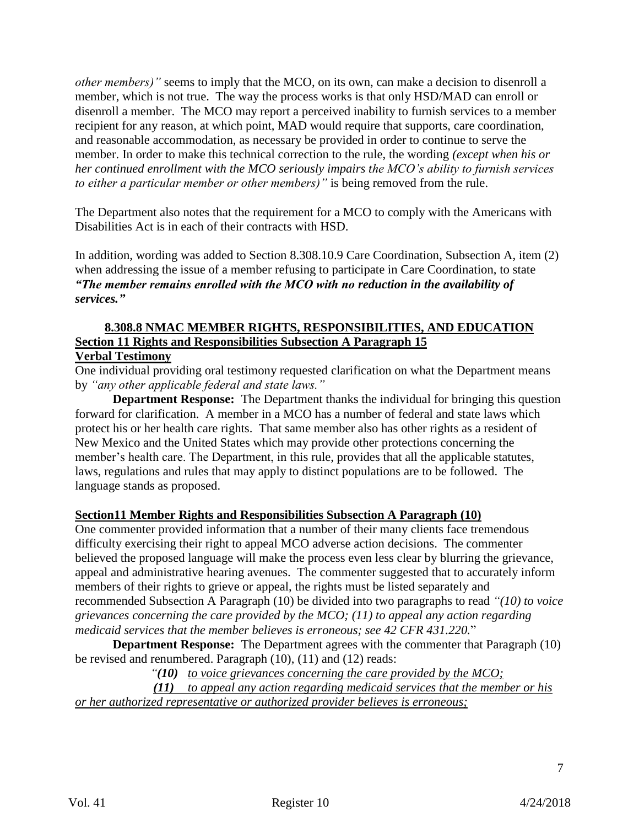*other members)*" seems to imply that the MCO, on its own, can make a decision to disenroll a member, which is not true. The way the process works is that only HSD/MAD can enroll or disenroll a member. The MCO may report a perceived inability to furnish services to a member recipient for any reason, at which point, MAD would require that supports, care coordination, and reasonable accommodation, as necessary be provided in order to continue to serve the member. In order to make this technical correction to the rule, the wording *(except when his or her continued enrollment with the MCO seriously impairs the MCO's ability to furnish services to either a particular member or other members)"* is being removed from the rule.

The Department also notes that the requirement for a MCO to comply with the Americans with Disabilities Act is in each of their contracts with HSD.

In addition, wording was added to Section 8.308.10.9 Care Coordination, Subsection A, item (2) when addressing the issue of a member refusing to participate in Care Coordination, to state *"The member remains enrolled with the MCO with no reduction in the availability of services."*

#### **8.308.8 NMAC MEMBER RIGHTS, RESPONSIBILITIES, AND EDUCATION Section 11 Rights and Responsibilities Subsection A Paragraph 15 Verbal Testimony**

One individual providing oral testimony requested clarification on what the Department means by *"any other applicable federal and state laws."*

**Department Response:** The Department thanks the individual for bringing this question forward for clarification. A member in a MCO has a number of federal and state laws which protect his or her health care rights. That same member also has other rights as a resident of New Mexico and the United States which may provide other protections concerning the member's health care. The Department, in this rule, provides that all the applicable statutes, laws, regulations and rules that may apply to distinct populations are to be followed. The language stands as proposed.

## **Section11 Member Rights and Responsibilities Subsection A Paragraph (10)**

One commenter provided information that a number of their many clients face tremendous difficulty exercising their right to appeal MCO adverse action decisions. The commenter believed the proposed language will make the process even less clear by blurring the grievance, appeal and administrative hearing avenues. The commenter suggested that to accurately inform members of their rights to grieve or appeal, the rights must be listed separately and recommended Subsection A Paragraph (10) be divided into two paragraphs to read *"(10) to voice grievances concerning the care provided by the MCO; (11) to appeal any action regarding medicaid services that the member believes is erroneous; see 42 CFR 431.220.*"

**Department Response:** The Department agrees with the commenter that Paragraph (10) be revised and renumbered. Paragraph (10), (11) and (12) reads:

*"(10) to voice grievances concerning the care provided by the MCO;*

*(11) to appeal any action regarding medicaid services that the member or his or her authorized representative or authorized provider believes is erroneous;*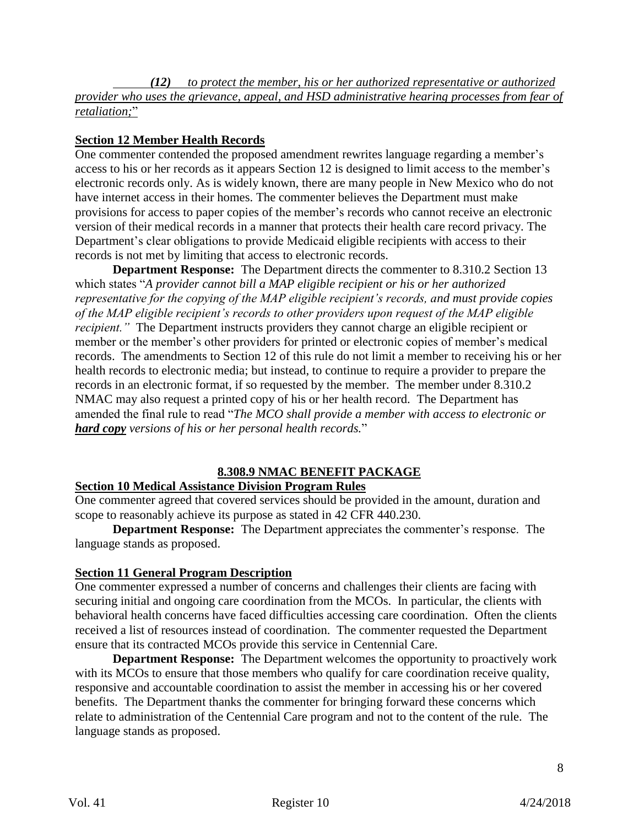*(12) to protect the member, his or her authorized representative or authorized provider who uses the grievance, appeal, and HSD administrative hearing processes from fear of retaliation;*"

# **Section 12 Member Health Records**

One commenter contended the proposed amendment rewrites language regarding a member's access to his or her records as it appears Section 12 is designed to limit access to the member's electronic records only. As is widely known, there are many people in New Mexico who do not have internet access in their homes. The commenter believes the Department must make provisions for access to paper copies of the member's records who cannot receive an electronic version of their medical records in a manner that protects their health care record privacy. The Department's clear obligations to provide Medicaid eligible recipients with access to their records is not met by limiting that access to electronic records.

**Department Response:** The Department directs the commenter to 8.310.2 Section 13 which states "*A provider cannot bill a MAP eligible recipient or his or her authorized representative for the copying of the MAP eligible recipient's records, and must provide copies of the MAP eligible recipient's records to other providers upon request of the MAP eligible recipient.*" The Department instructs providers they cannot charge an eligible recipient or member or the member's other providers for printed or electronic copies of member's medical records. The amendments to Section 12 of this rule do not limit a member to receiving his or her health records to electronic media; but instead, to continue to require a provider to prepare the records in an electronic format, if so requested by the member. The member under 8.310.2 NMAC may also request a printed copy of his or her health record. The Department has amended the final rule to read "*The MCO shall provide a member with access to electronic or hard copy versions of his or her personal health records.*"

# **8.308.9 NMAC BENEFIT PACKAGE**

# **Section 10 Medical Assistance Division Program Rules**

One commenter agreed that covered services should be provided in the amount, duration and scope to reasonably achieve its purpose as stated in 42 CFR 440.230.

**Department Response:** The Department appreciates the commenter's response. The language stands as proposed.

## **Section 11 General Program Description**

One commenter expressed a number of concerns and challenges their clients are facing with securing initial and ongoing care coordination from the MCOs. In particular, the clients with behavioral health concerns have faced difficulties accessing care coordination. Often the clients received a list of resources instead of coordination. The commenter requested the Department ensure that its contracted MCOs provide this service in Centennial Care.

**Department Response:** The Department welcomes the opportunity to proactively work with its MCOs to ensure that those members who qualify for care coordination receive quality, responsive and accountable coordination to assist the member in accessing his or her covered benefits. The Department thanks the commenter for bringing forward these concerns which relate to administration of the Centennial Care program and not to the content of the rule. The language stands as proposed.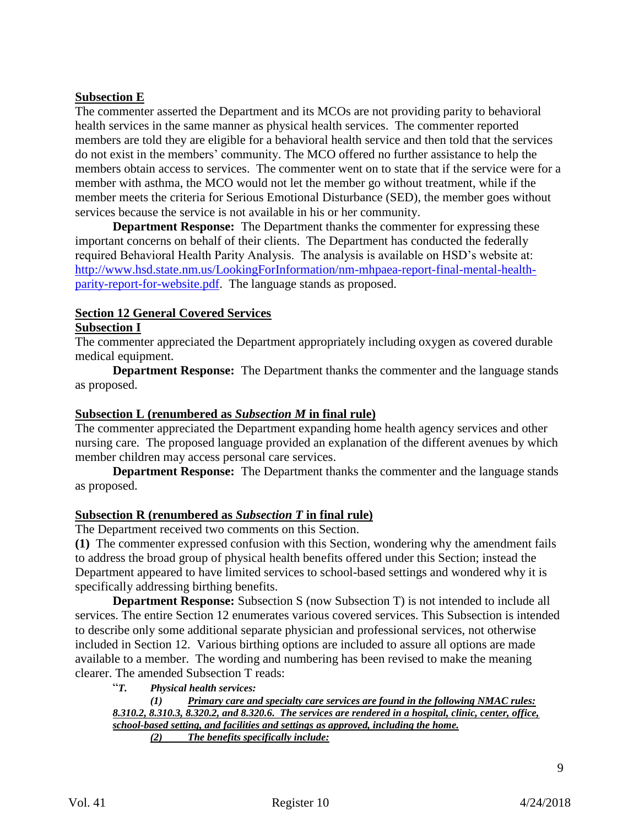# **Subsection E**

The commenter asserted the Department and its MCOs are not providing parity to behavioral health services in the same manner as physical health services. The commenter reported members are told they are eligible for a behavioral health service and then told that the services do not exist in the members' community. The MCO offered no further assistance to help the members obtain access to services. The commenter went on to state that if the service were for a member with asthma, the MCO would not let the member go without treatment, while if the member meets the criteria for Serious Emotional Disturbance (SED), the member goes without services because the service is not available in his or her community.

**Department Response:** The Department thanks the commenter for expressing these important concerns on behalf of their clients. The Department has conducted the federally required Behavioral Health Parity Analysis. The analysis is available on HSD's website at: [http://www.hsd.state.nm.us/LookingForInformation/nm-mhpaea-report-final-mental-health](http://www.hsd.state.nm.us/LookingForInformation/nm-mhpaea-report-final-mental-health-parity-report-for-website.pdf)[parity-report-for-website.pdf.](http://www.hsd.state.nm.us/LookingForInformation/nm-mhpaea-report-final-mental-health-parity-report-for-website.pdf) The language stands as proposed.

# **Section 12 General Covered Services**

## **Subsection I**

The commenter appreciated the Department appropriately including oxygen as covered durable medical equipment.

**Department Response:** The Department thanks the commenter and the language stands as proposed.

## **Subsection L (renumbered as** *Subsection M* **in final rule)**

The commenter appreciated the Department expanding home health agency services and other nursing care. The proposed language provided an explanation of the different avenues by which member children may access personal care services.

**Department Response:** The Department thanks the commenter and the language stands as proposed.

#### **Subsection R (renumbered as** *Subsection T* **in final rule)**

The Department received two comments on this Section.

**(1)** The commenter expressed confusion with this Section, wondering why the amendment fails to address the broad group of physical health benefits offered under this Section; instead the Department appeared to have limited services to school-based settings and wondered why it is specifically addressing birthing benefits.

**Department Response:** Subsection S (now Subsection T) is not intended to include all services. The entire Section 12 enumerates various covered services. This Subsection is intended to describe only some additional separate physician and professional services, not otherwise included in Section 12. Various birthing options are included to assure all options are made available to a member. The wording and numbering has been revised to make the meaning clearer. The amended Subsection T reads:

"*T. Physical health services:*

*(1) Primary care and specialty care services are found in the following NMAC rules: 8.310.2, 8.310.3, 8.320.2, and 8.320.6. The services are rendered in a hospital, clinic, center, office, school-based setting, and facilities and settings as approved, including the home. (2) The benefits specifically include:*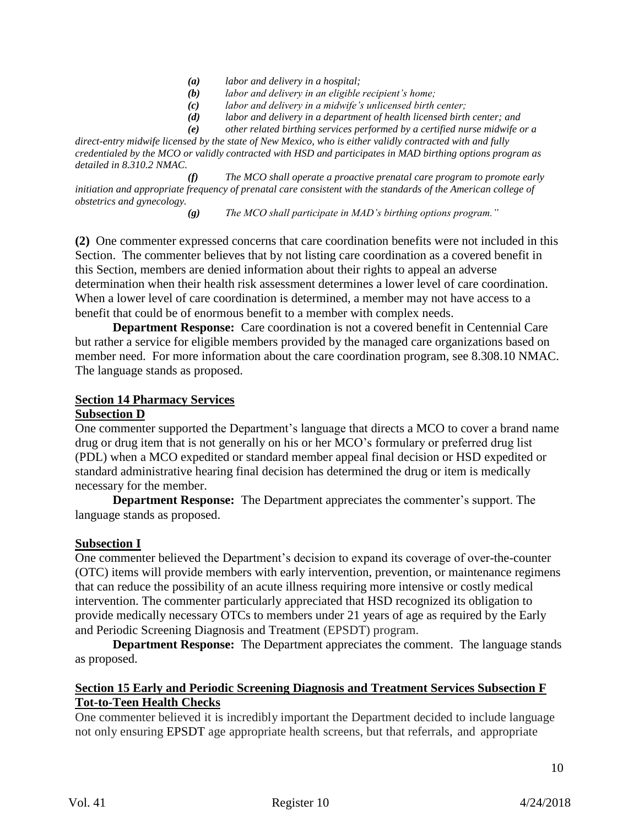- *(a) labor and delivery in a hospital;*
- *(b) labor and delivery in an eligible recipient's home;*
- *(c) labor and delivery in a midwife's unlicensed birth center;*
- *(d) labor and delivery in a department of health licensed birth center; and*
- *(e) other related birthing services performed by a certified nurse midwife or a*

*direct-entry midwife licensed by the state of New Mexico, who is either validly contracted with and fully credentialed by the MCO or validly contracted with HSD and participates in MAD birthing options program as detailed in 8.310.2 NMAC.*

*(f) The MCO shall operate a proactive prenatal care program to promote early initiation and appropriate frequency of prenatal care consistent with the standards of the American college of obstetrics and gynecology.*

*(g) The MCO shall participate in MAD's birthing options program."*

**(2)** One commenter expressed concerns that care coordination benefits were not included in this Section. The commenter believes that by not listing care coordination as a covered benefit in this Section, members are denied information about their rights to appeal an adverse determination when their health risk assessment determines a lower level of care coordination. When a lower level of care coordination is determined, a member may not have access to a benefit that could be of enormous benefit to a member with complex needs.

**Department Response:** Care coordination is not a covered benefit in Centennial Care but rather a service for eligible members provided by the managed care organizations based on member need. For more information about the care coordination program, see 8.308.10 NMAC. The language stands as proposed.

#### **Section 14 Pharmacy Services**

#### **Subsection D**

One commenter supported the Department's language that directs a MCO to cover a brand name drug or drug item that is not generally on his or her MCO's formulary or preferred drug list (PDL) when a MCO expedited or standard member appeal final decision or HSD expedited or standard administrative hearing final decision has determined the drug or item is medically necessary for the member.

**Department Response:** The Department appreciates the commenter's support. The language stands as proposed.

#### **Subsection I**

One commenter believed the Department's decision to expand its coverage of over-the-counter (OTC) items will provide members with early intervention, prevention, or maintenance regimens that can reduce the possibility of an acute illness requiring more intensive or costly medical intervention. The commenter particularly appreciated that HSD recognized its obligation to provide medically necessary OTCs to members under 21 years of age as required by the Early and Periodic Screening Diagnosis and Treatment (EPSDT) program.

**Department Response:** The Department appreciates the comment. The language stands as proposed.

#### **Section 15 Early and Periodic Screening Diagnosis and Treatment Services Subsection F Tot-to-Teen Health Checks**

One commenter believed it is incredibly important the Department decided to include language not only ensuring EPSDT age appropriate health screens, but that referrals, and appropriate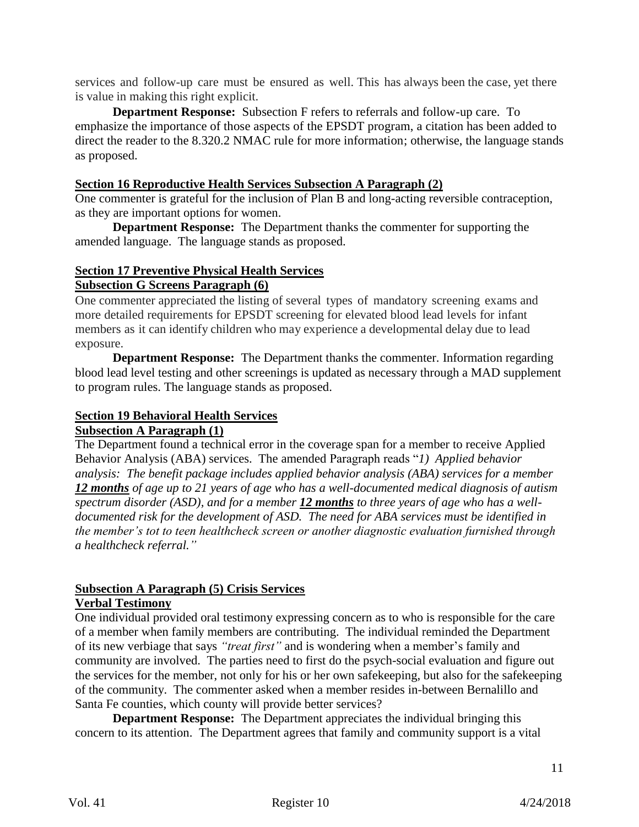services and follow-up care must be ensured as well. This has always been the case, yet there is value in making this right explicit.

**Department Response:** Subsection F refers to referrals and follow-up care. To emphasize the importance of those aspects of the EPSDT program, a citation has been added to direct the reader to the 8.320.2 NMAC rule for more information; otherwise, the language stands as proposed.

#### **Section 16 Reproductive Health Services Subsection A Paragraph (2)**

One commenter is grateful for the inclusion of Plan B and long-acting reversible contraception, as they are important options for women.

**Department Response:** The Department thanks the commenter for supporting the amended language. The language stands as proposed.

# **Section 17 Preventive Physical Health Services**

#### **Subsection G Screens Paragraph (6)**

One commenter appreciated the listing of several types of mandatory screening exams and more detailed requirements for EPSDT screening for elevated blood lead levels for infant members as it can identify children who may experience a developmental delay due to lead exposure.

**Department Response:** The Department thanks the commenter. Information regarding blood lead level testing and other screenings is updated as necessary through a MAD supplement to program rules. The language stands as proposed.

# **Section 19 Behavioral Health Services**

## **Subsection A Paragraph (1)**

The Department found a technical error in the coverage span for a member to receive Applied Behavior Analysis (ABA) services. The amended Paragraph reads "*1) Applied behavior analysis: The benefit package includes applied behavior analysis (ABA) services for a member 12 months of age up to 21 years of age who has a well-documented medical diagnosis of autism spectrum disorder (ASD), and for a member 12 months to three years of age who has a welldocumented risk for the development of ASD. The need for ABA services must be identified in the member's tot to teen healthcheck screen or another diagnostic evaluation furnished through a healthcheck referral."*

# **Subsection A Paragraph (5) Crisis Services**

# **Verbal Testimony**

One individual provided oral testimony expressing concern as to who is responsible for the care of a member when family members are contributing. The individual reminded the Department of its new verbiage that says *"treat first"* and is wondering when a member's family and community are involved. The parties need to first do the psych-social evaluation and figure out the services for the member, not only for his or her own safekeeping, but also for the safekeeping of the community. The commenter asked when a member resides in-between Bernalillo and Santa Fe counties, which county will provide better services?

**Department Response:** The Department appreciates the individual bringing this concern to its attention. The Department agrees that family and community support is a vital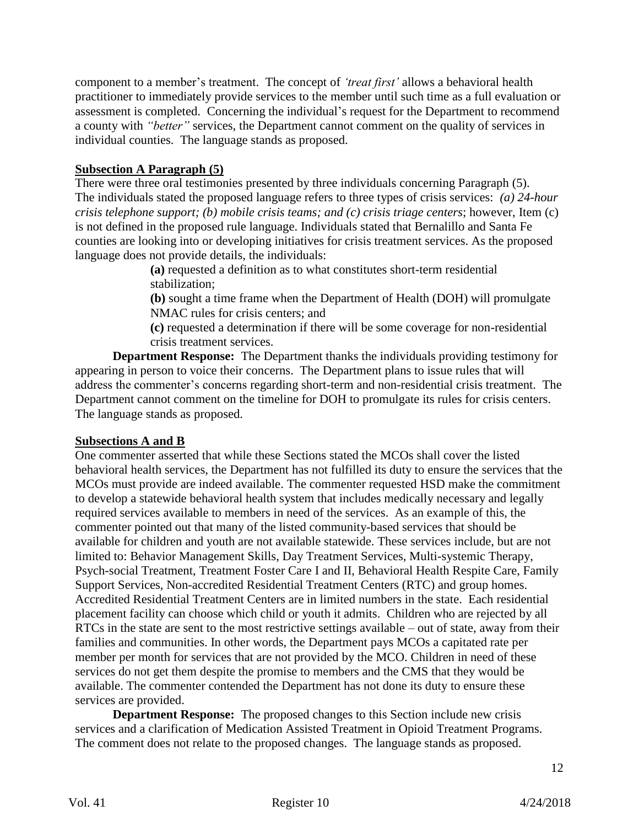component to a member's treatment. The concept of *'treat first'* allows a behavioral health practitioner to immediately provide services to the member until such time as a full evaluation or assessment is completed. Concerning the individual's request for the Department to recommend a county with *"better"* services, the Department cannot comment on the quality of services in individual counties. The language stands as proposed.

## **Subsection A Paragraph (5)**

There were three oral testimonies presented by three individuals concerning Paragraph (5). The individuals stated the proposed language refers to three types of crisis services: *(a) 24-hour crisis telephone support; (b) mobile crisis teams; and (c) crisis triage centers*; however, Item (c) is not defined in the proposed rule language. Individuals stated that Bernalillo and Santa Fe counties are looking into or developing initiatives for crisis treatment services. As the proposed language does not provide details, the individuals:

> **(a)** requested a definition as to what constitutes short-term residential stabilization;

**(b)** sought a time frame when the Department of Health (DOH) will promulgate NMAC rules for crisis centers; and

**(c)** requested a determination if there will be some coverage for non-residential crisis treatment services.

**Department Response:** The Department thanks the individuals providing testimony for appearing in person to voice their concerns. The Department plans to issue rules that will address the commenter's concerns regarding short-term and non-residential crisis treatment. The Department cannot comment on the timeline for DOH to promulgate its rules for crisis centers. The language stands as proposed.

## **Subsections A and B**

One commenter asserted that while these Sections stated the MCOs shall cover the listed behavioral health services, the Department has not fulfilled its duty to ensure the services that the MCOs must provide are indeed available. The commenter requested HSD make the commitment to develop a statewide behavioral health system that includes medically necessary and legally required services available to members in need of the services. As an example of this, the commenter pointed out that many of the listed community-based services that should be available for children and youth are not available statewide. These services include, but are not limited to: Behavior Management Skills, Day Treatment Services, Multi-systemic Therapy, Psych-social Treatment, Treatment Foster Care I and II, Behavioral Health Respite Care, Family Support Services, Non-accredited Residential Treatment Centers (RTC) and group homes. Accredited Residential Treatment Centers are in limited numbers in the state. Each residential placement facility can choose which child or youth it admits. Children who are rejected by all RTCs in the state are sent to the most restrictive settings available – out of state, away from their families and communities. In other words, the Department pays MCOs a capitated rate per member per month for services that are not provided by the MCO. Children in need of these services do not get them despite the promise to members and the CMS that they would be available. The commenter contended the Department has not done its duty to ensure these services are provided.

**Department Response:** The proposed changes to this Section include new crisis services and a clarification of Medication Assisted Treatment in Opioid Treatment Programs. The comment does not relate to the proposed changes. The language stands as proposed.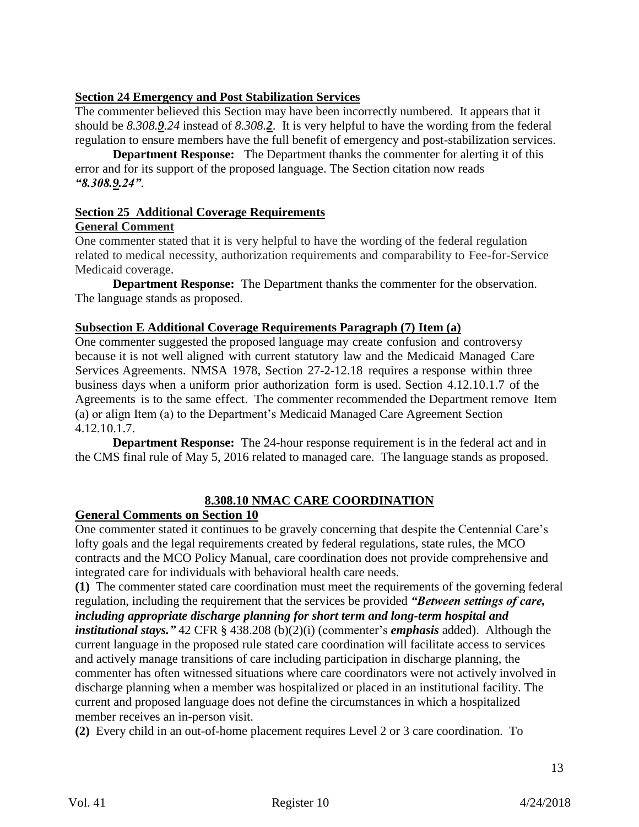## **Section 24 Emergency and Post Stabilization Services**

The commenter believed this Section may have been incorrectly numbered. It appears that it should be *8.308.9.24* instead of *8.308.2*. It is very helpful to have the wording from the federal regulation to ensure members have the full benefit of emergency and post-stabilization services.

**Department Response:** The Department thanks the commenter for alerting it of this error and for its support of the proposed language. The Section citation now reads *"8.308.9.24"*.

# **Section 25 Additional Coverage Requirements**

#### **General Comment**

One commenter stated that it is very helpful to have the wording of the federal regulation related to medical necessity, authorization requirements and comparability to Fee-for-Service Medicaid coverage.

**Department Response:** The Department thanks the commenter for the observation. The language stands as proposed.

#### **Subsection E Additional Coverage Requirements Paragraph (7) Item (a)**

One commenter suggested the proposed language may create confusion and controversy because it is not well aligned with current statutory law and the Medicaid Managed Care Services Agreements. NMSA 1978, Section 27-2-12.18 requires a response within three business days when a uniform prior authorization form is used. Section 4.12.10.1.7 of the Agreements is to the same effect. The commenter recommended the Department remove Item (a) or align Item (a) to the Department's Medicaid Managed Care Agreement Section 4.12.10.1.7.

**Department Response:** The 24-hour response requirement is in the federal act and in the CMS final rule of May 5, 2016 related to managed care. The language stands as proposed.

# **8.308.10 NMAC CARE COORDINATION**

## **General Comments on Section 10**

One commenter stated it continues to be gravely concerning that despite the Centennial Care's lofty goals and the legal requirements created by federal regulations, state rules, the MCO contracts and the MCO Policy Manual, care coordination does not provide comprehensive and integrated care for individuals with behavioral health care needs.

**(1)** The commenter stated care coordination must meet the requirements of the governing federal regulation, including the requirement that the services be provided *"Between settings of care, including appropriate discharge planning for short term and long-term hospital and institutional stays."* 42 CFR § 438.208 (b)(2)(i) (commenter's *emphasis* added). Although the current language in the proposed rule stated care coordination will facilitate access to services and actively manage transitions of care including participation in discharge planning, the commenter has often witnessed situations where care coordinators were not actively involved in discharge planning when a member was hospitalized or placed in an institutional facility. The current and proposed language does not define the circumstances in which a hospitalized member receives an in-person visit.

**(2)** Every child in an out-of-home placement requires Level 2 or 3 care coordination. To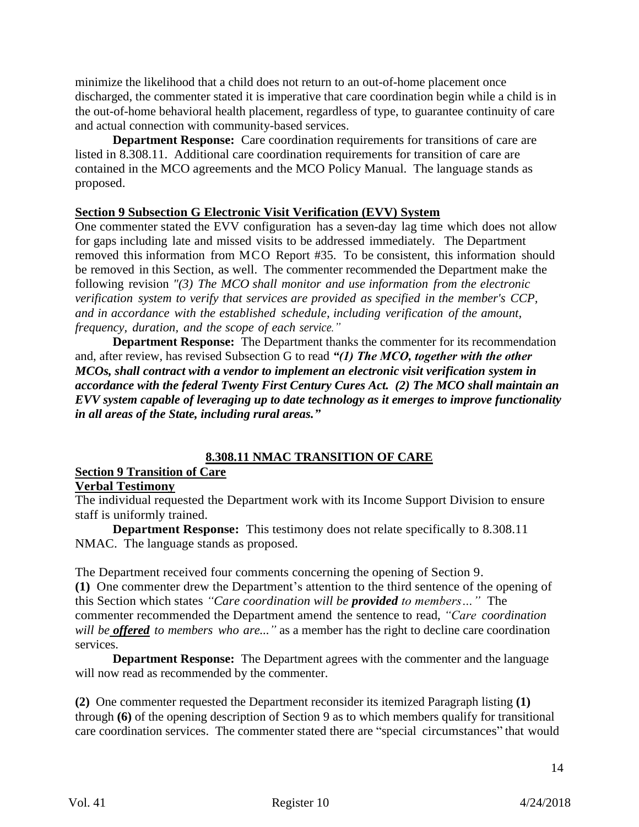minimize the likelihood that a child does not return to an out-of-home placement once discharged, the commenter stated it is imperative that care coordination begin while a child is in the out-of-home behavioral health placement, regardless of type, to guarantee continuity of care and actual connection with community-based services.

**Department Response:** Care coordination requirements for transitions of care are listed in 8.308.11. Additional care coordination requirements for transition of care are contained in the MCO agreements and the MCO Policy Manual. The language stands as proposed.

#### **Section 9 Subsection G Electronic Visit Verification (EVV) System**

One commenter stated the EVV configuration has a seven-day lag time which does not allow for gaps including late and missed visits to be addressed immediately. The Department removed this information from MCO Report #35. To be consistent, this information should be removed in this Section, as well. The commenter recommended the Department make the following revision *"(3) The MCO shall monitor and use information from the electronic verification system to verify that services are provided as specified in the member's CCP, and in accordance with the established schedule, including verification of the amount, frequency, duration, and the scope of each service."*

**Department Response:** The Department thanks the commenter for its recommendation and, after review, has revised Subsection G to read *"(1) The MCO, together with the other MCOs, shall contract with a vendor to implement an electronic visit verification system in accordance with the federal Twenty First Century Cures Act. (2) The MCO shall maintain an EVV system capable of leveraging up to date technology as it emerges to improve functionality in all areas of the State, including rural areas."*

## **8.308.11 NMAC TRANSITION OF CARE**

# **Section 9 Transition of Care**

## **Verbal Testimony**

The individual requested the Department work with its Income Support Division to ensure staff is uniformly trained.

**Department Response:** This testimony does not relate specifically to 8.308.11 NMAC. The language stands as proposed.

The Department received four comments concerning the opening of Section 9.

**(1)** One commenter drew the Department's attention to the third sentence of the opening of this Section which states *"Care coordination will be provided to members…"* The commenter recommended the Department amend the sentence to read, *"Care coordination will be offered to members who are..."* as a member has the right to decline care coordination services.

**Department Response:** The Department agrees with the commenter and the language will now read as recommended by the commenter.

**(2)** One commenter requested the Department reconsider its itemized Paragraph listing **(1)** through **(6)** of the opening description of Section 9 as to which members qualify for transitional care coordination services. The commenter stated there are "special circumstances" that would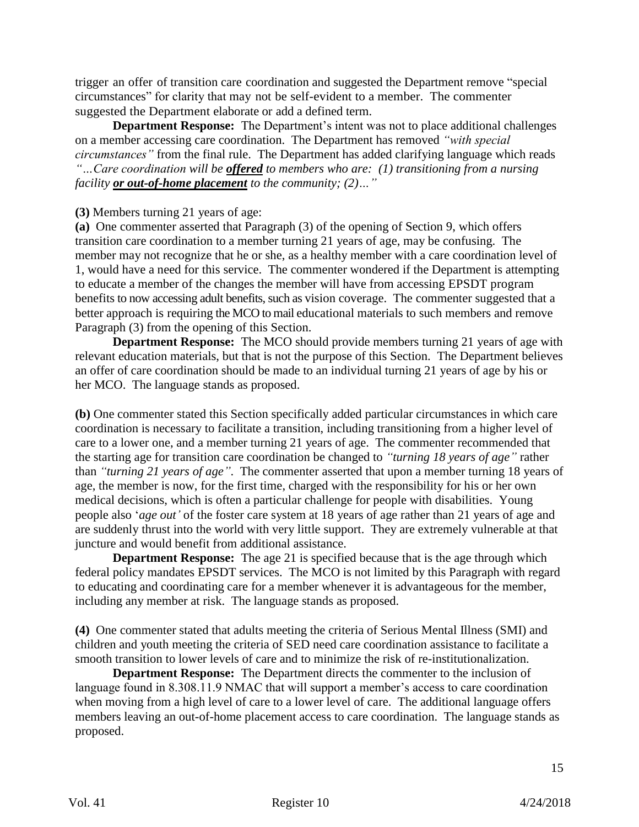trigger an offer of transition care coordination and suggested the Department remove "special circumstances" for clarity that may not be self-evident to a member. The commenter suggested the Department elaborate or add a defined term.

**Department Response:** The Department's intent was not to place additional challenges on a member accessing care coordination. The Department has removed *"with special circumstances"* from the final rule. The Department has added clarifying language which reads *"…Care coordination will be offered to members who are: (1) transitioning from a nursing facility or out-of-home placement to the community; (2)…"*

### **(3)** Members turning 21 years of age:

**(a)** One commenter asserted that Paragraph (3) of the opening of Section 9, which offers transition care coordination to a member turning 21 years of age, may be confusing. The member may not recognize that he or she, as a healthy member with a care coordination level of 1, would have a need for this service. The commenter wondered if the Department is attempting to educate a member of the changes the member will have from accessing EPSDT program benefits to now accessing adult benefits, such as vision coverage. The commenter suggested that a better approach is requiring the MCO to mail educational materials to such members and remove Paragraph (3) from the opening of this Section.

**Department Response:** The MCO should provide members turning 21 years of age with relevant education materials, but that is not the purpose of this Section. The Department believes an offer of care coordination should be made to an individual turning 21 years of age by his or her MCO. The language stands as proposed.

**(b)** One commenter stated this Section specifically added particular circumstances in which care coordination is necessary to facilitate a transition, including transitioning from a higher level of care to a lower one, and a member turning 21 years of age. The commenter recommended that the starting age for transition care coordination be changed to *"turning 18 years of age"* rather than *"turning 21 years of age"*. The commenter asserted that upon a member turning 18 years of age, the member is now, for the first time, charged with the responsibility for his or her own medical decisions, which is often a particular challenge for people with disabilities. Young people also '*age out'* of the foster care system at 18 years of age rather than 21 years of age and are suddenly thrust into the world with very little support. They are extremely vulnerable at that juncture and would benefit from additional assistance.

**Department Response:** The age 21 is specified because that is the age through which federal policy mandates EPSDT services. The MCO is not limited by this Paragraph with regard to educating and coordinating care for a member whenever it is advantageous for the member, including any member at risk. The language stands as proposed.

**(4)** One commenter stated that adults meeting the criteria of Serious Mental Illness (SMI) and children and youth meeting the criteria of SED need care coordination assistance to facilitate a smooth transition to lower levels of care and to minimize the risk of re-institutionalization.

**Department Response:** The Department directs the commenter to the inclusion of language found in 8.308.11.9 NMAC that will support a member's access to care coordination when moving from a high level of care to a lower level of care. The additional language offers members leaving an out-of-home placement access to care coordination. The language stands as proposed.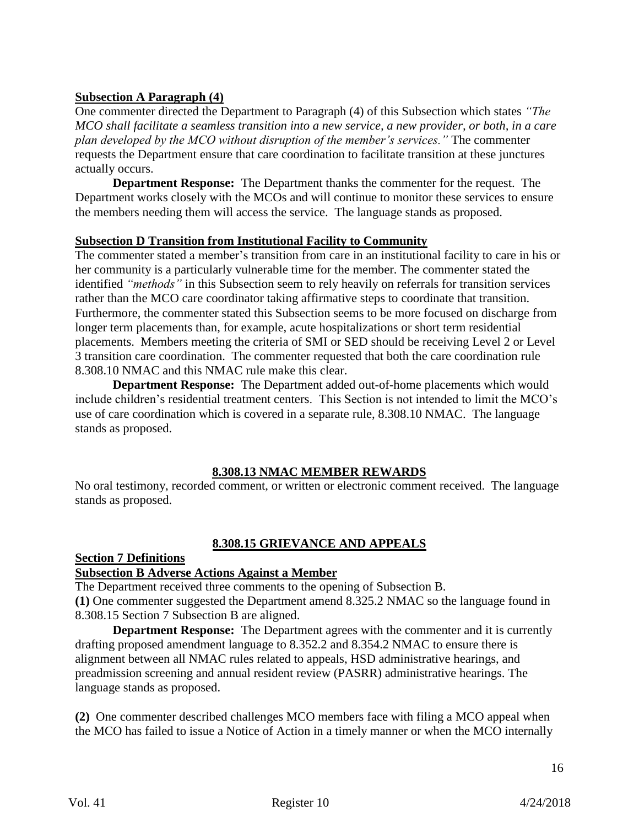## **Subsection A Paragraph (4)**

One commenter directed the Department to Paragraph (4) of this Subsection which states *"The MCO shall facilitate a seamless transition into a new service, a new provider, or both, in a care plan developed by the MCO without disruption of the member's services."* The commenter requests the Department ensure that care coordination to facilitate transition at these junctures actually occurs.

**Department Response:** The Department thanks the commenter for the request. The Department works closely with the MCOs and will continue to monitor these services to ensure the members needing them will access the service. The language stands as proposed.

## **Subsection D Transition from Institutional Facility to Community**

The commenter stated a member's transition from care in an institutional facility to care in his or her community is a particularly vulnerable time for the member. The commenter stated the identified *"methods"* in this Subsection seem to rely heavily on referrals for transition services rather than the MCO care coordinator taking affirmative steps to coordinate that transition. Furthermore, the commenter stated this Subsection seems to be more focused on discharge from longer term placements than, for example, acute hospitalizations or short term residential placements. Members meeting the criteria of SMI or SED should be receiving Level 2 or Level 3 transition care coordination. The commenter requested that both the care coordination rule 8.308.10 NMAC and this NMAC rule make this clear.

**Department Response:** The Department added out-of-home placements which would include children's residential treatment centers. This Section is not intended to limit the MCO's use of care coordination which is covered in a separate rule, 8.308.10 NMAC. The language stands as proposed.

## **8.308.13 NMAC MEMBER REWARDS**

No oral testimony, recorded comment, or written or electronic comment received. The language stands as proposed.

## **8.308.15 GRIEVANCE AND APPEALS**

### **Section 7 Definitions**

### **Subsection B Adverse Actions Against a Member**

The Department received three comments to the opening of Subsection B. **(1)** One commenter suggested the Department amend 8.325.2 NMAC so the language found in 8.308.15 Section 7 Subsection B are aligned.

**Department Response:** The Department agrees with the commenter and it is currently drafting proposed amendment language to 8.352.2 and 8.354.2 NMAC to ensure there is alignment between all NMAC rules related to appeals, HSD administrative hearings, and preadmission screening and annual resident review (PASRR) administrative hearings. The language stands as proposed.

**(2)** One commenter described challenges MCO members face with filing a MCO appeal when the MCO has failed to issue a Notice of Action in a timely manner or when the MCO internally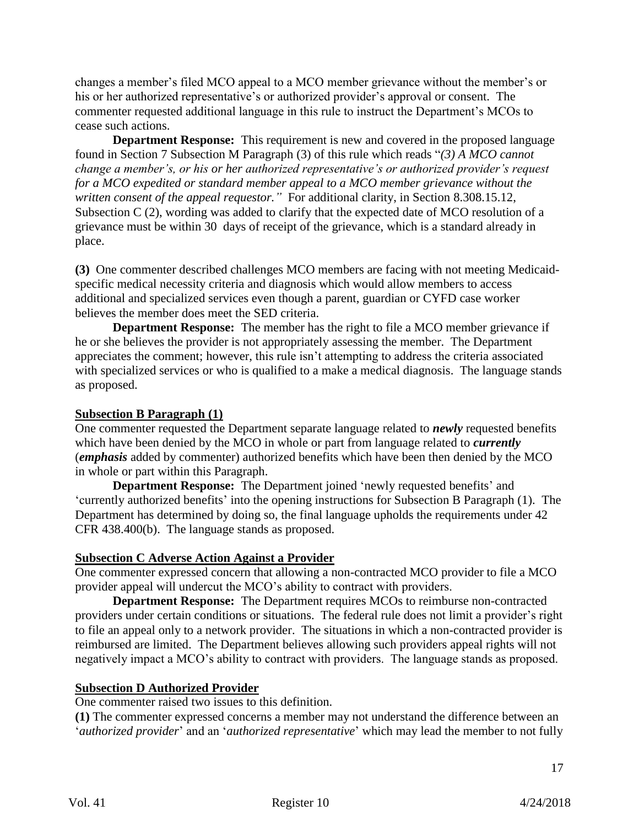changes a member's filed MCO appeal to a MCO member grievance without the member's or his or her authorized representative's or authorized provider's approval or consent. The commenter requested additional language in this rule to instruct the Department's MCOs to cease such actions.

**Department Response:** This requirement is new and covered in the proposed language found in Section 7 Subsection M Paragraph (3) of this rule which reads "*(3) A MCO cannot change a member's, or his or her authorized representative's or authorized provider's request for a MCO expedited or standard member appeal to a MCO member grievance without the written consent of the appeal requestor."* For additional clarity, in Section 8.308.15.12, Subsection C (2), wording was added to clarify that the expected date of MCO resolution of a grievance must be within 30 days of receipt of the grievance, which is a standard already in place.

**(3)** One commenter described challenges MCO members are facing with not meeting Medicaidspecific medical necessity criteria and diagnosis which would allow members to access additional and specialized services even though a parent, guardian or CYFD case worker believes the member does meet the SED criteria.

**Department Response:** The member has the right to file a MCO member grievance if he or she believes the provider is not appropriately assessing the member. The Department appreciates the comment; however, this rule isn't attempting to address the criteria associated with specialized services or who is qualified to a make a medical diagnosis. The language stands as proposed.

#### **Subsection B Paragraph (1)**

One commenter requested the Department separate language related to *newly* requested benefits which have been denied by the MCO in whole or part from language related to *currently* (*emphasis* added by commenter) authorized benefits which have been then denied by the MCO in whole or part within this Paragraph.

**Department Response:** The Department joined 'newly requested benefits' and 'currently authorized benefits' into the opening instructions for Subsection B Paragraph (1). The Department has determined by doing so, the final language upholds the requirements under 42 CFR 438.400(b). The language stands as proposed.

#### **Subsection C Adverse Action Against a Provider**

One commenter expressed concern that allowing a non-contracted MCO provider to file a MCO provider appeal will undercut the MCO's ability to contract with providers.

**Department Response:** The Department requires MCOs to reimburse non-contracted providers under certain conditions or situations. The federal rule does not limit a provider's right to file an appeal only to a network provider. The situations in which a non-contracted provider is reimbursed are limited. The Department believes allowing such providers appeal rights will not negatively impact a MCO's ability to contract with providers. The language stands as proposed.

#### **Subsection D Authorized Provider**

One commenter raised two issues to this definition.

**(1)** The commenter expressed concerns a member may not understand the difference between an '*authorized provider*' and an '*authorized representative*' which may lead the member to not fully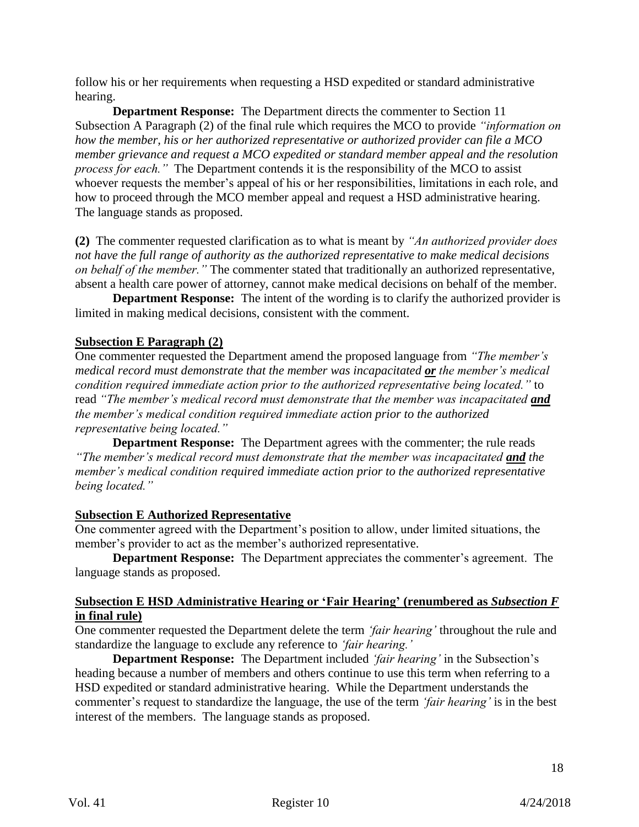follow his or her requirements when requesting a HSD expedited or standard administrative hearing.

**Department Response:** The Department directs the commenter to Section 11 Subsection A Paragraph (2) of the final rule which requires the MCO to provide *"information on how the member, his or her authorized representative or authorized provider can file a MCO member grievance and request a MCO expedited or standard member appeal and the resolution process for each."* The Department contends it is the responsibility of the MCO to assist whoever requests the member's appeal of his or her responsibilities, limitations in each role, and how to proceed through the MCO member appeal and request a HSD administrative hearing. The language stands as proposed.

**(2)** The commenter requested clarification as to what is meant by *"An authorized provider does not have the full range of authority as the authorized representative to make medical decisions on behalf of the member."* The commenter stated that traditionally an authorized representative, absent a health care power of attorney, cannot make medical decisions on behalf of the member.

**Department Response:** The intent of the wording is to clarify the authorized provider is limited in making medical decisions, consistent with the comment.

# **Subsection E Paragraph (2)**

One commenter requested the Department amend the proposed language from *"The member's medical record must demonstrate that the member was incapacitated or the member's medical condition required immediate action prior to the authorized representative being located."* to read *"The member's medical record must demonstrate that the member was incapacitated and the member's medical condition required immediate action prior to the authorized representative being located."*

**Department Response:** The Department agrees with the commenter; the rule reads *"The member's medical record must demonstrate that the member was incapacitated and the member's medical condition required immediate action prior to the authorized representative being located."*

## **Subsection E Authorized Representative**

One commenter agreed with the Department's position to allow, under limited situations, the member's provider to act as the member's authorized representative.

**Department Response:** The Department appreciates the commenter's agreement. The language stands as proposed.

#### **Subsection E HSD Administrative Hearing or 'Fair Hearing' (renumbered as** *Subsection F* **in final rule)**

One commenter requested the Department delete the term *'fair hearing'* throughout the rule and standardize the language to exclude any reference to *'fair hearing.'*

**Department Response:** The Department included *'fair hearing'* in the Subsection's heading because a number of members and others continue to use this term when referring to a HSD expedited or standard administrative hearing. While the Department understands the commenter's request to standardize the language, the use of the term *'fair hearing'* is in the best interest of the members. The language stands as proposed.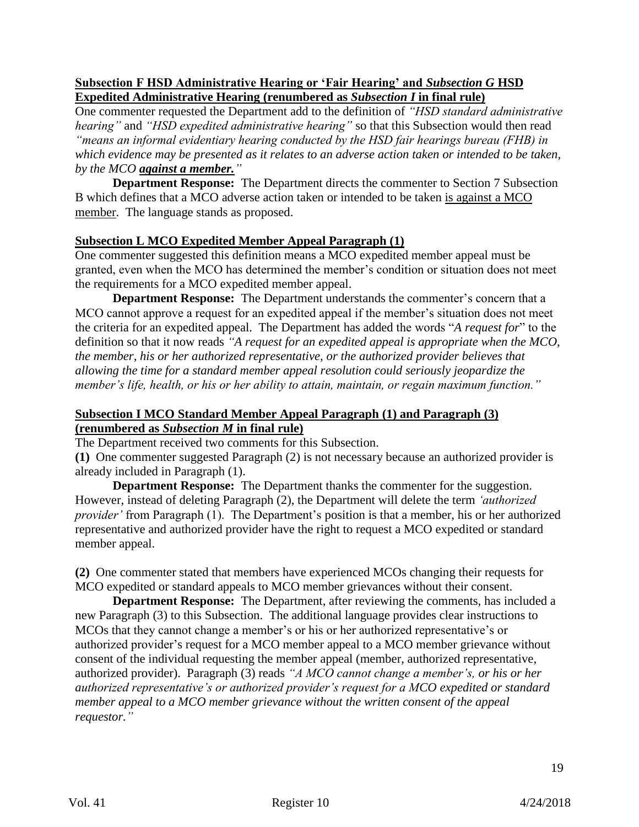### **Subsection F HSD Administrative Hearing or 'Fair Hearing' and** *Subsection G* **HSD Expedited Administrative Hearing (renumbered as** *Subsection I* **in final rule)**

One commenter requested the Department add to the definition of *"HSD standard administrative hearing"* and *"HSD expedited administrative hearing"* so that this Subsection would then read *"means an informal evidentiary hearing conducted by the HSD fair hearings bureau (FHB) in which evidence may be presented as it relates to an adverse action taken or intended to be taken, by the MCO against a member."*

**Department Response:** The Department directs the commenter to Section 7 Subsection B which defines that a MCO adverse action taken or intended to be taken is against a MCO member. The language stands as proposed.

#### **Subsection L MCO Expedited Member Appeal Paragraph (1)**

One commenter suggested this definition means a MCO expedited member appeal must be granted, even when the MCO has determined the member's condition or situation does not meet the requirements for a MCO expedited member appeal.

**Department Response:** The Department understands the commenter's concern that a MCO cannot approve a request for an expedited appeal if the member's situation does not meet the criteria for an expedited appeal. The Department has added the words "*A request for*" to the definition so that it now reads *"A request for an expedited appeal is appropriate when the MCO, the member, his or her authorized representative, or the authorized provider believes that allowing the time for a standard member appeal resolution could seriously jeopardize the member's life, health, or his or her ability to attain, maintain, or regain maximum function."*

#### **Subsection I MCO Standard Member Appeal Paragraph (1) and Paragraph (3) (renumbered as** *Subsection M* **in final rule)**

The Department received two comments for this Subsection.

**(1)** One commenter suggested Paragraph (2) is not necessary because an authorized provider is already included in Paragraph (1).

**Department Response:** The Department thanks the commenter for the suggestion. However, instead of deleting Paragraph (2), the Department will delete the term *'authorized provider'* from Paragraph (1). The Department's position is that a member, his or her authorized representative and authorized provider have the right to request a MCO expedited or standard member appeal.

**(2)** One commenter stated that members have experienced MCOs changing their requests for MCO expedited or standard appeals to MCO member grievances without their consent.

**Department Response:** The Department, after reviewing the comments, has included a new Paragraph (3) to this Subsection. The additional language provides clear instructions to MCOs that they cannot change a member's or his or her authorized representative's or authorized provider's request for a MCO member appeal to a MCO member grievance without consent of the individual requesting the member appeal (member, authorized representative, authorized provider). Paragraph (3) reads *"A MCO cannot change a member's, or his or her authorized representative's or authorized provider's request for a MCO expedited or standard member appeal to a MCO member grievance without the written consent of the appeal requestor."*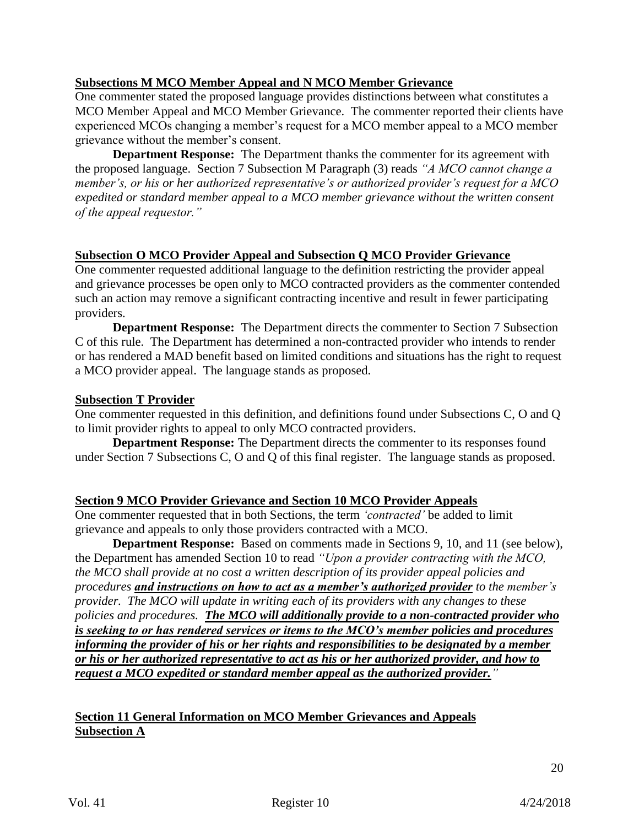## **Subsections M MCO Member Appeal and N MCO Member Grievance**

One commenter stated the proposed language provides distinctions between what constitutes a MCO Member Appeal and MCO Member Grievance. The commenter reported their clients have experienced MCOs changing a member's request for a MCO member appeal to a MCO member grievance without the member's consent.

**Department Response:** The Department thanks the commenter for its agreement with the proposed language. Section 7 Subsection M Paragraph (3) reads *"A MCO cannot change a member's, or his or her authorized representative's or authorized provider's request for a MCO expedited or standard member appeal to a MCO member grievance without the written consent of the appeal requestor."*

# **Subsection O MCO Provider Appeal and Subsection Q MCO Provider Grievance**

One commenter requested additional language to the definition restricting the provider appeal and grievance processes be open only to MCO contracted providers as the commenter contended such an action may remove a significant contracting incentive and result in fewer participating providers.

**Department Response:** The Department directs the commenter to Section 7 Subsection C of this rule. The Department has determined a non-contracted provider who intends to render or has rendered a MAD benefit based on limited conditions and situations has the right to request a MCO provider appeal. The language stands as proposed.

#### **Subsection T Provider**

One commenter requested in this definition, and definitions found under Subsections C, O and Q to limit provider rights to appeal to only MCO contracted providers.

**Department Response:** The Department directs the commenter to its responses found under Section 7 Subsections C, O and Q of this final register. The language stands as proposed.

## **Section 9 MCO Provider Grievance and Section 10 MCO Provider Appeals**

One commenter requested that in both Sections, the term *'contracted'* be added to limit grievance and appeals to only those providers contracted with a MCO.

**Department Response:** Based on comments made in Sections 9, 10, and 11 (see below), the Department has amended Section 10 to read *"Upon a provider contracting with the MCO, the MCO shall provide at no cost a written description of its provider appeal policies and procedures and instructions on how to act as a member's authorized provider to the member's provider. The MCO will update in writing each of its providers with any changes to these policies and procedures. The MCO will additionally provide to a non-contracted provider who is seeking to or has rendered services or items to the MCO's member policies and procedures informing the provider of his or her rights and responsibilities to be designated by a member or his or her authorized representative to act as his or her authorized provider, and how to request a MCO expedited or standard member appeal as the authorized provider."*

# **Section 11 General Information on MCO Member Grievances and Appeals Subsection A**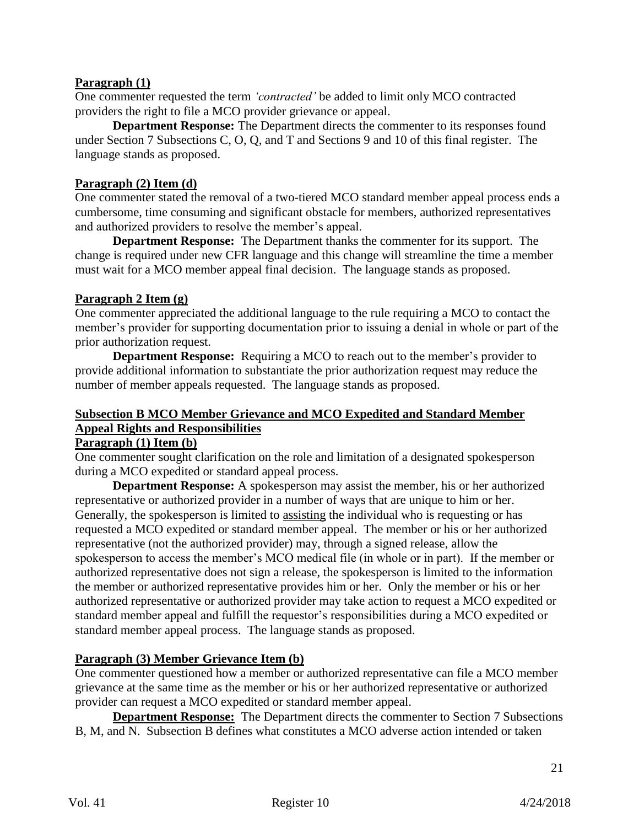## **Paragraph (1)**

One commenter requested the term *'contracted'* be added to limit only MCO contracted providers the right to file a MCO provider grievance or appeal.

**Department Response:** The Department directs the commenter to its responses found under Section 7 Subsections C, O, Q, and T and Sections 9 and 10 of this final register. The language stands as proposed.

## **Paragraph (2) Item (d)**

One commenter stated the removal of a two-tiered MCO standard member appeal process ends a cumbersome, time consuming and significant obstacle for members, authorized representatives and authorized providers to resolve the member's appeal.

**Department Response:** The Department thanks the commenter for its support. The change is required under new CFR language and this change will streamline the time a member must wait for a MCO member appeal final decision. The language stands as proposed.

# **Paragraph 2 Item (g)**

One commenter appreciated the additional language to the rule requiring a MCO to contact the member's provider for supporting documentation prior to issuing a denial in whole or part of the prior authorization request.

**Department Response:** Requiring a MCO to reach out to the member's provider to provide additional information to substantiate the prior authorization request may reduce the number of member appeals requested. The language stands as proposed.

# **Subsection B MCO Member Grievance and MCO Expedited and Standard Member Appeal Rights and Responsibilities**

## **Paragraph (1) Item (b)**

One commenter sought clarification on the role and limitation of a designated spokesperson during a MCO expedited or standard appeal process.

**Department Response:** A spokesperson may assist the member, his or her authorized representative or authorized provider in a number of ways that are unique to him or her. Generally, the spokesperson is limited to assisting the individual who is requesting or has requested a MCO expedited or standard member appeal. The member or his or her authorized representative (not the authorized provider) may, through a signed release, allow the spokesperson to access the member's MCO medical file (in whole or in part). If the member or authorized representative does not sign a release, the spokesperson is limited to the information the member or authorized representative provides him or her. Only the member or his or her authorized representative or authorized provider may take action to request a MCO expedited or standard member appeal and fulfill the requestor's responsibilities during a MCO expedited or standard member appeal process. The language stands as proposed.

# **Paragraph (3) Member Grievance Item (b)**

One commenter questioned how a member or authorized representative can file a MCO member grievance at the same time as the member or his or her authorized representative or authorized provider can request a MCO expedited or standard member appeal.

**Department Response:** The Department directs the commenter to Section 7 Subsections B, M, and N. Subsection B defines what constitutes a MCO adverse action intended or taken

21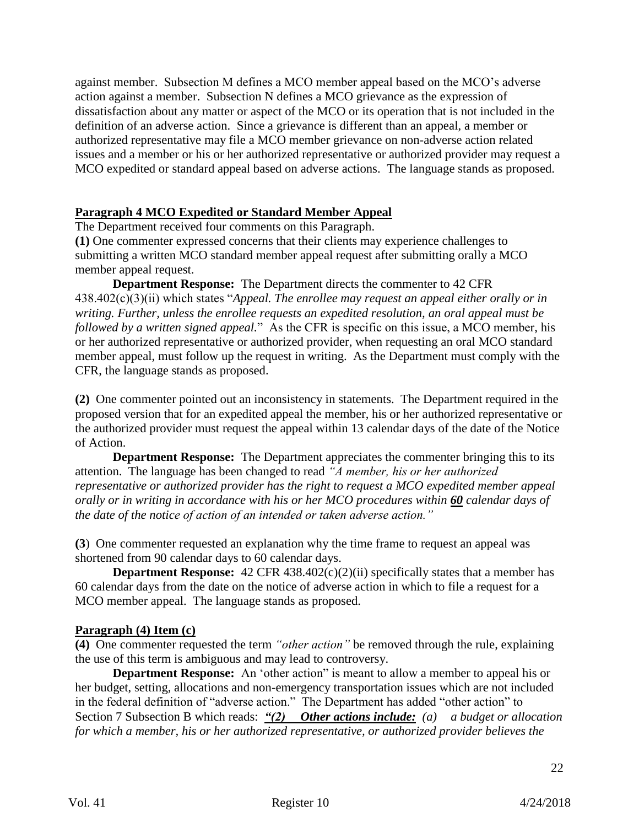against member. Subsection M defines a MCO member appeal based on the MCO's adverse action against a member. Subsection N defines a MCO grievance as the expression of dissatisfaction about any matter or aspect of the MCO or its operation that is not included in the definition of an adverse action. Since a grievance is different than an appeal, a member or authorized representative may file a MCO member grievance on non-adverse action related issues and a member or his or her authorized representative or authorized provider may request a MCO expedited or standard appeal based on adverse actions. The language stands as proposed.

### **Paragraph 4 MCO Expedited or Standard Member Appeal**

The Department received four comments on this Paragraph.

**(1)** One commenter expressed concerns that their clients may experience challenges to submitting a written MCO standard member appeal request after submitting orally a MCO member appeal request.

**Department Response:** The Department directs the commenter to 42 CFR 438.402(c)(3)(ii) which states "*Appeal. The enrollee may request an appeal either orally or in writing. Further, unless the enrollee requests an expedited resolution, an oral appeal must be followed by a written signed appeal.*" As the CFR is specific on this issue, a MCO member, his or her authorized representative or authorized provider, when requesting an oral MCO standard member appeal, must follow up the request in writing. As the Department must comply with the CFR, the language stands as proposed.

**(2)** One commenter pointed out an inconsistency in statements. The Department required in the proposed version that for an expedited appeal the member, his or her authorized representative or the authorized provider must request the appeal within 13 calendar days of the date of the Notice of Action.

**Department Response:** The Department appreciates the commenter bringing this to its attention. The language has been changed to read *"A member, his or her authorized representative or authorized provider has the right to request a MCO expedited member appeal orally or in writing in accordance with his or her MCO procedures within 60 calendar days of the date of the notice of action of an intended or taken adverse action."*

**(3**) One commenter requested an explanation why the time frame to request an appeal was shortened from 90 calendar days to 60 calendar days.

**Department Response:** 42 CFR 438.402(c)(2)(ii) specifically states that a member has 60 calendar days from the date on the notice of adverse action in which to file a request for a MCO member appeal. The language stands as proposed.

#### **Paragraph (4) Item (c)**

**(4)** One commenter requested the term *"other action"* be removed through the rule, explaining the use of this term is ambiguous and may lead to controversy.

**Department Response:** An 'other action" is meant to allow a member to appeal his or her budget, setting, allocations and non-emergency transportation issues which are not included in the federal definition of "adverse action." The Department has added "other action" to Section 7 Subsection B which reads: *"(2) Other actions include: (a) a budget or allocation for which a member, his or her authorized representative, or authorized provider believes the*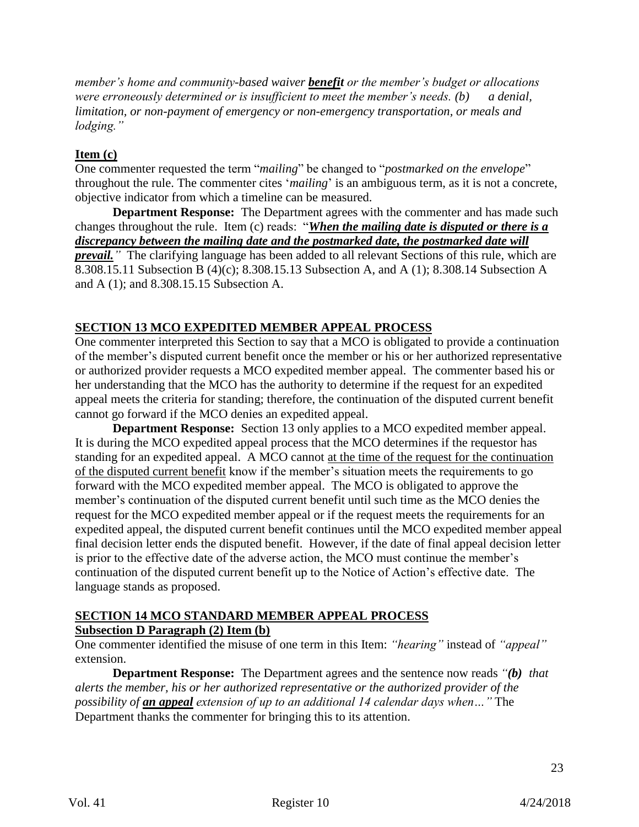*member's home and community-based waiver benefit or the member's budget or allocations were erroneously determined or is insufficient to meet the member's needs. (b) a denial, limitation, or non-payment of emergency or non-emergency transportation, or meals and lodging."*

## **Item (c)**

One commenter requested the term "*mailing*" be changed to "*postmarked on the envelope*" throughout the rule. The commenter cites '*mailing*' is an ambiguous term, as it is not a concrete, objective indicator from which a timeline can be measured.

**Department Response:** The Department agrees with the commenter and has made such changes throughout the rule. Item (c) reads: "*When the mailing date is disputed or there is a discrepancy between the mailing date and the postmarked date, the postmarked date will prevail.* The clarifying language has been added to all relevant Sections of this rule, which are 8.308.15.11 Subsection B (4)(c); 8.308.15.13 Subsection A, and A (1); 8.308.14 Subsection A and A (1); and 8.308.15.15 Subsection A.

# **SECTION 13 MCO EXPEDITED MEMBER APPEAL PROCESS**

One commenter interpreted this Section to say that a MCO is obligated to provide a continuation of the member's disputed current benefit once the member or his or her authorized representative or authorized provider requests a MCO expedited member appeal. The commenter based his or her understanding that the MCO has the authority to determine if the request for an expedited appeal meets the criteria for standing; therefore, the continuation of the disputed current benefit cannot go forward if the MCO denies an expedited appeal.

**Department Response:** Section 13 only applies to a MCO expedited member appeal. It is during the MCO expedited appeal process that the MCO determines if the requestor has standing for an expedited appeal. A MCO cannot at the time of the request for the continuation of the disputed current benefit know if the member's situation meets the requirements to go forward with the MCO expedited member appeal. The MCO is obligated to approve the member's continuation of the disputed current benefit until such time as the MCO denies the request for the MCO expedited member appeal or if the request meets the requirements for an expedited appeal, the disputed current benefit continues until the MCO expedited member appeal final decision letter ends the disputed benefit. However, if the date of final appeal decision letter is prior to the effective date of the adverse action, the MCO must continue the member's continuation of the disputed current benefit up to the Notice of Action's effective date. The language stands as proposed.

#### **SECTION 14 MCO STANDARD MEMBER APPEAL PROCESS Subsection D Paragraph (2) Item (b)**

One commenter identified the misuse of one term in this Item: *"hearing"* instead of *"appeal"* extension.

**Department Response:** The Department agrees and the sentence now reads *"(b) that alerts the member, his or her authorized representative or the authorized provider of the possibility of an appeal extension of up to an additional 14 calendar days when…"* The Department thanks the commenter for bringing this to its attention.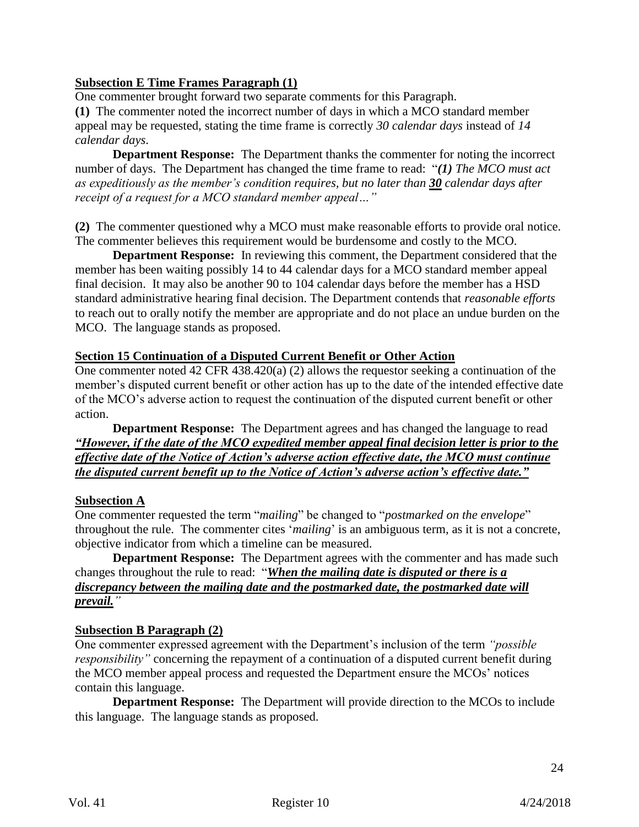### **Subsection E Time Frames Paragraph (1)**

One commenter brought forward two separate comments for this Paragraph.

**(1)** The commenter noted the incorrect number of days in which a MCO standard member appeal may be requested, stating the time frame is correctly *30 calendar days* instead of *14 calendar days*.

**Department Response:** The Department thanks the commenter for noting the incorrect number of days. The Department has changed the time frame to read: "*(1) The MCO must act as expeditiously as the member's condition requires, but no later than 30 calendar days after receipt of a request for a MCO standard member appeal…"*

**(2)** The commenter questioned why a MCO must make reasonable efforts to provide oral notice. The commenter believes this requirement would be burdensome and costly to the MCO.

**Department Response:** In reviewing this comment, the Department considered that the member has been waiting possibly 14 to 44 calendar days for a MCO standard member appeal final decision. It may also be another 90 to 104 calendar days before the member has a HSD standard administrative hearing final decision. The Department contends that *reasonable efforts* to reach out to orally notify the member are appropriate and do not place an undue burden on the MCO. The language stands as proposed.

#### **Section 15 Continuation of a Disputed Current Benefit or Other Action**

One commenter noted 42 CFR 438.420(a) (2) allows the requestor seeking a continuation of the member's disputed current benefit or other action has up to the date of the intended effective date of the MCO's adverse action to request the continuation of the disputed current benefit or other action.

**Department Response:** The Department agrees and has changed the language to read *"However, if the date of the MCO expedited member appeal final decision letter is prior to the effective date of the Notice of Action's adverse action effective date, the MCO must continue the disputed current benefit up to the Notice of Action's adverse action's effective date."*

#### **Subsection A**

One commenter requested the term "*mailing*" be changed to "*postmarked on the envelope*" throughout the rule. The commenter cites '*mailing*' is an ambiguous term, as it is not a concrete, objective indicator from which a timeline can be measured.

**Department Response:** The Department agrees with the commenter and has made such changes throughout the rule to read: "*When the mailing date is disputed or there is a discrepancy between the mailing date and the postmarked date, the postmarked date will prevail."*

#### **Subsection B Paragraph (2)**

One commenter expressed agreement with the Department's inclusion of the term *"possible responsibility"* concerning the repayment of a continuation of a disputed current benefit during the MCO member appeal process and requested the Department ensure the MCOs' notices contain this language.

**Department Response:** The Department will provide direction to the MCOs to include this language. The language stands as proposed.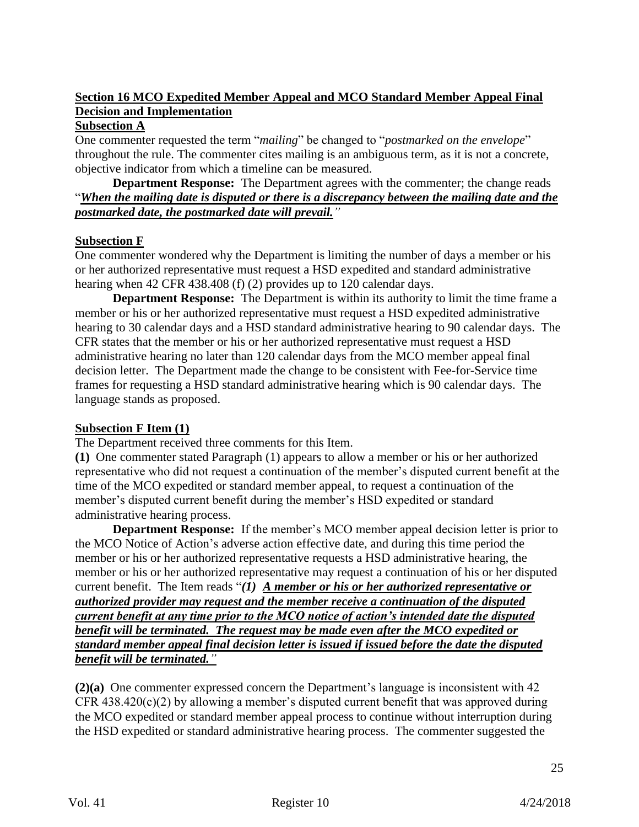# **Section 16 MCO Expedited Member Appeal and MCO Standard Member Appeal Final Decision and Implementation**

# **Subsection A**

One commenter requested the term "*mailing*" be changed to "*postmarked on the envelope*" throughout the rule. The commenter cites mailing is an ambiguous term, as it is not a concrete, objective indicator from which a timeline can be measured.

**Department Response:** The Department agrees with the commenter; the change reads "*When the mailing date is disputed or there is a discrepancy between the mailing date and the postmarked date, the postmarked date will prevail."*

## **Subsection F**

One commenter wondered why the Department is limiting the number of days a member or his or her authorized representative must request a HSD expedited and standard administrative hearing when 42 CFR 438.408 (f) (2) provides up to 120 calendar days.

**Department Response:** The Department is within its authority to limit the time frame a member or his or her authorized representative must request a HSD expedited administrative hearing to 30 calendar days and a HSD standard administrative hearing to 90 calendar days. The CFR states that the member or his or her authorized representative must request a HSD administrative hearing no later than 120 calendar days from the MCO member appeal final decision letter. The Department made the change to be consistent with Fee-for-Service time frames for requesting a HSD standard administrative hearing which is 90 calendar days. The language stands as proposed.

#### **Subsection F Item (1)**

The Department received three comments for this Item.

**(1)** One commenter stated Paragraph (1) appears to allow a member or his or her authorized representative who did not request a continuation of the member's disputed current benefit at the time of the MCO expedited or standard member appeal, to request a continuation of the member's disputed current benefit during the member's HSD expedited or standard administrative hearing process.

**Department Response:** If the member's MCO member appeal decision letter is prior to the MCO Notice of Action's adverse action effective date, and during this time period the member or his or her authorized representative requests a HSD administrative hearing, the member or his or her authorized representative may request a continuation of his or her disputed current benefit. The Item reads "*(1) A member or his or her authorized representative or authorized provider may request and the member receive a continuation of the disputed current benefit at any time prior to the MCO notice of action's intended date the disputed benefit will be terminated. The request may be made even after the MCO expedited or standard member appeal final decision letter is issued if issued before the date the disputed benefit will be terminated."*

**(2)(a)** One commenter expressed concern the Department's language is inconsistent with 42 CFR  $438.420(c)(2)$  by allowing a member's disputed current benefit that was approved during the MCO expedited or standard member appeal process to continue without interruption during the HSD expedited or standard administrative hearing process. The commenter suggested the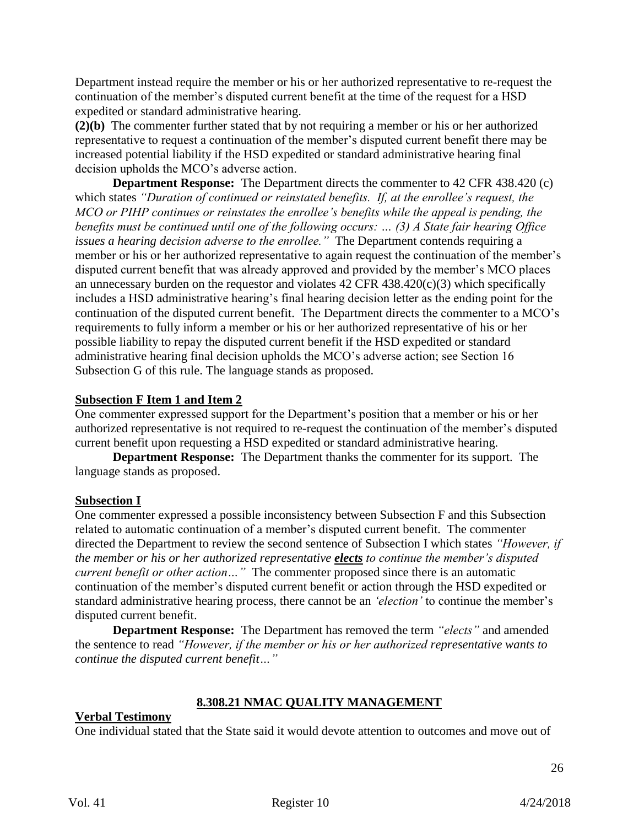Department instead require the member or his or her authorized representative to re-request the continuation of the member's disputed current benefit at the time of the request for a HSD expedited or standard administrative hearing.

**(2)(b)** The commenter further stated that by not requiring a member or his or her authorized representative to request a continuation of the member's disputed current benefit there may be increased potential liability if the HSD expedited or standard administrative hearing final decision upholds the MCO's adverse action.

**Department Response:** The Department directs the commenter to 42 CFR 438.420 (c) which states *"Duration of continued or reinstated benefits. If, at the enrollee's request, the MCO or PIHP continues or reinstates the enrollee's benefits while the appeal is pending, the benefits must be continued until one of the following occurs: … (3) A State fair hearing Office issues a hearing decision adverse to the enrollee."* The Department contends requiring a member or his or her authorized representative to again request the continuation of the member's disputed current benefit that was already approved and provided by the member's MCO places an unnecessary burden on the requestor and violates  $42$  CFR  $438.420(c)(3)$  which specifically includes a HSD administrative hearing's final hearing decision letter as the ending point for the continuation of the disputed current benefit. The Department directs the commenter to a MCO's requirements to fully inform a member or his or her authorized representative of his or her possible liability to repay the disputed current benefit if the HSD expedited or standard administrative hearing final decision upholds the MCO's adverse action; see Section 16 Subsection G of this rule. The language stands as proposed.

## **Subsection F Item 1 and Item 2**

One commenter expressed support for the Department's position that a member or his or her authorized representative is not required to re-request the continuation of the member's disputed current benefit upon requesting a HSD expedited or standard administrative hearing.

**Department Response:** The Department thanks the commenter for its support. The language stands as proposed.

## **Subsection I**

One commenter expressed a possible inconsistency between Subsection F and this Subsection related to automatic continuation of a member's disputed current benefit. The commenter directed the Department to review the second sentence of Subsection I which states *"However, if the member or his or her authorized representative elects to continue the member's disputed current benefit or other action...*" The commenter proposed since there is an automatic continuation of the member's disputed current benefit or action through the HSD expedited or standard administrative hearing process, there cannot be an *'election'* to continue the member's disputed current benefit.

**Department Response:** The Department has removed the term *"elects"* and amended the sentence to read *"However, if the member or his or her authorized representative wants to continue the disputed current benefit…"*

## **8.308.21 NMAC QUALITY MANAGEMENT**

#### **Verbal Testimony**

One individual stated that the State said it would devote attention to outcomes and move out of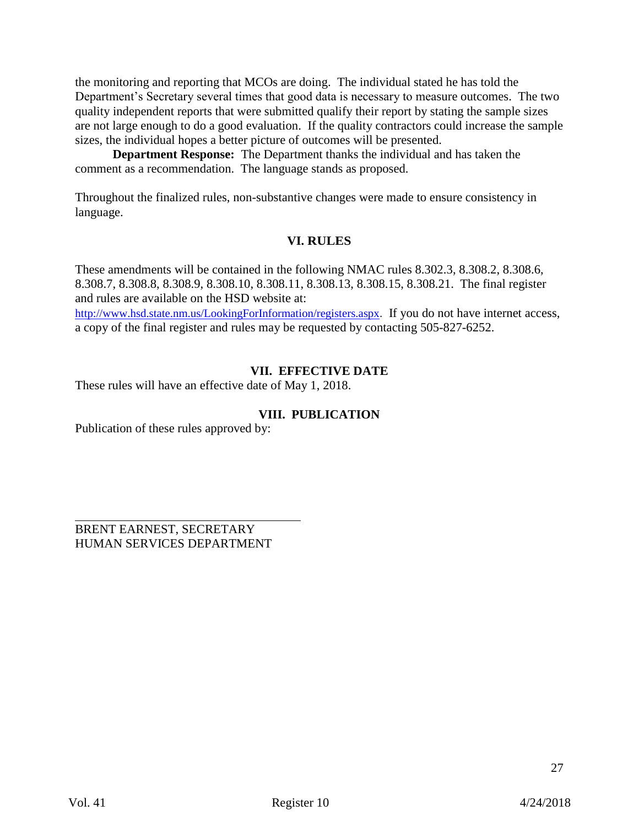the monitoring and reporting that MCOs are doing. The individual stated he has told the Department's Secretary several times that good data is necessary to measure outcomes. The two quality independent reports that were submitted qualify their report by stating the sample sizes are not large enough to do a good evaluation. If the quality contractors could increase the sample sizes, the individual hopes a better picture of outcomes will be presented.

**Department Response:** The Department thanks the individual and has taken the comment as a recommendation. The language stands as proposed.

Throughout the finalized rules, non-substantive changes were made to ensure consistency in language.

## **VI. RULES**

These amendments will be contained in the following NMAC rules 8.302.3, 8.308.2, 8.308.6, 8.308.7, 8.308.8, 8.308.9, 8.308.10, 8.308.11, 8.308.13, 8.308.15, 8.308.21. The final register and rules are available on the HSD website at:

<http://www.hsd.state.nm.us/LookingForInformation/registers.aspx>. If you do not have internet access, a copy of the final register and rules may be requested by contacting 505-827-6252.

# **VII. EFFECTIVE DATE**

These rules will have an effective date of May 1, 2018.

## **VIII. PUBLICATION**

Publication of these rules approved by:

BRENT EARNEST, SECRETARY HUMAN SERVICES DEPARTMENT